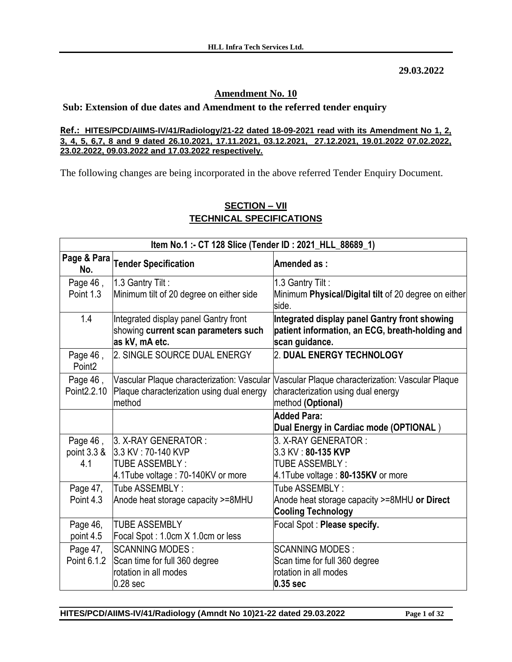**29.03.2022**

### **Amendment No. 10**

### **Sub: Extension of due dates and Amendment to the referred tender enquiry**

#### **Ref.: HITES/PCD/AIIMS-IV/41/Radiology/21-22 dated 18-09-2021 read with its Amendment No 1, 2, 3, 4, 5, 6,7, 8 and 9 dated 26.10.2021, 17.11.2021, 03.12.2021, 27.12.2021, 19.01.2022 07.02.2022, 23.02.2022, 09.03.2022 and 17.03.2022 respectively.**

The following changes are being incorporated in the above referred Tender Enquiry Document.

| Item No.1 :- CT 128 Slice (Tender ID : 2021_HLL_88689_1) |                                                                                                 |                                                                                                                    |
|----------------------------------------------------------|-------------------------------------------------------------------------------------------------|--------------------------------------------------------------------------------------------------------------------|
| No.                                                      | Page & Para Tender Specification                                                                | Amended as:                                                                                                        |
| Page 46,                                                 | 1.3 Gantry Tilt:                                                                                | 1.3 Gantry Tilt:                                                                                                   |
| Point 1.3                                                | Minimum tilt of 20 degree on either side                                                        | Minimum Physical/Digital tilt of 20 degree on either<br>side.                                                      |
| 1.4                                                      | Integrated display panel Gantry front<br>showing current scan parameters such<br>as kV, mA etc. | Integrated display panel Gantry front showing<br>patient information, an ECG, breath-holding and<br>scan guidance. |
| Page 46,<br>Point <sub>2</sub>                           | 2. SINGLE SOURCE DUAL ENERGY                                                                    | 2. DUAL ENERGY TECHNOLOGY                                                                                          |
| Page 46,                                                 | Vascular Plaque characterization: Vascular                                                      | Vascular Plaque characterization: Vascular Plaque                                                                  |
| Point 2.2.10                                             | Plaque characterization using dual energy                                                       | characterization using dual energy                                                                                 |
|                                                          | method                                                                                          | method (Optional)                                                                                                  |
|                                                          |                                                                                                 | <b>Added Para:</b>                                                                                                 |
|                                                          |                                                                                                 | Dual Energy in Cardiac mode (OPTIONAL)                                                                             |
| Page 46,                                                 | 3. X-RAY GENERATOR:                                                                             | 3. X-RAY GENERATOR:                                                                                                |
| point 3.3 &                                              | 3.3 KV: 70-140 KVP                                                                              | 3.3 KV: 80-135 KVP                                                                                                 |
| 4.1                                                      | <b>TUBE ASSEMBLY:</b>                                                                           | <b>TUBE ASSEMBLY:</b>                                                                                              |
|                                                          | 4.1Tube voltage: 70-140KV or more                                                               | 4.1Tube voltage: 80-135KV or more                                                                                  |
| Page 47,                                                 | Tube ASSEMBLY:                                                                                  | Tube ASSEMBLY:                                                                                                     |
| Point 4.3                                                | Anode heat storage capacity >=8MHU                                                              | Anode heat storage capacity >=8MHU or Direct                                                                       |
|                                                          |                                                                                                 | <b>Cooling Technology</b>                                                                                          |
| Page 46,                                                 | <b>TUBE ASSEMBLY</b>                                                                            | Focal Spot : Please specify.                                                                                       |
| point 4.5                                                | Focal Spot: 1.0cm X 1.0cm or less                                                               |                                                                                                                    |
| Page 47,                                                 | <b>SCANNING MODES:</b>                                                                          | <b>SCANNING MODES:</b>                                                                                             |
| Point 6.1.2                                              | Scan time for full 360 degree                                                                   | Scan time for full 360 degree                                                                                      |
|                                                          | rotation in all modes                                                                           | rotation in all modes                                                                                              |
|                                                          | 0.28 <sub>sec</sub>                                                                             | $0.35$ sec                                                                                                         |

## **SECTION – VII TECHNICAL SPECIFICATIONS**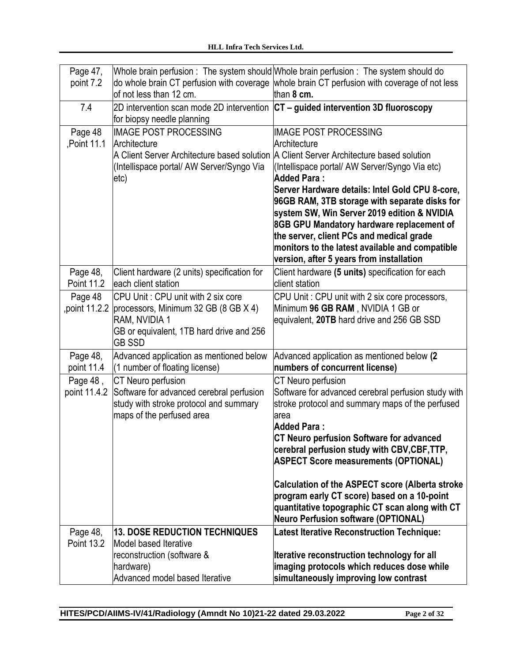| Page 47,<br>point 7.2    | lof not less than 12 cm.                                                                                                                                                | Whole brain perfusion: The system should Whole brain perfusion: The system should do<br>do whole brain CT perfusion with coverage whole brain CT perfusion with coverage of not less<br>than 8 cm.                                                                                                                                                                                                                                                                                                                                                         |
|--------------------------|-------------------------------------------------------------------------------------------------------------------------------------------------------------------------|------------------------------------------------------------------------------------------------------------------------------------------------------------------------------------------------------------------------------------------------------------------------------------------------------------------------------------------------------------------------------------------------------------------------------------------------------------------------------------------------------------------------------------------------------------|
| 7.4                      | for biopsy needle planning                                                                                                                                              | 2D intervention scan mode 2D intervention $ CT -$ guided intervention 3D fluoroscopy                                                                                                                                                                                                                                                                                                                                                                                                                                                                       |
| Page 48<br>Point 11.1    | <b>IMAGE POST PROCESSING</b><br>Architecture<br>(Intellispace portal/ AW Server/Syngo Via<br>etc)                                                                       | <b>IMAGE POST PROCESSING</b><br>Architecture<br>A Client Server Architecture based solution A Client Server Architecture based solution<br>(Intellispace portal/ AW Server/Syngo Via etc)<br><b>Added Para:</b><br>Server Hardware details: Intel Gold CPU 8-core,<br>96GB RAM, 3TB storage with separate disks for<br>system SW, Win Server 2019 edition & NVIDIA<br>8GB GPU Mandatory hardware replacement of<br>the server, client PCs and medical grade<br>monitors to the latest available and compatible<br>version, after 5 years from installation |
| Page 48,<br>Point 11.2   | Client hardware (2 units) specification for<br>each client station                                                                                                      | Client hardware (5 units) specification for each<br>client station                                                                                                                                                                                                                                                                                                                                                                                                                                                                                         |
| Page 48                  | CPU Unit: CPU unit with 2 six core<br>, point 11.2.2 processors, Minimum 32 GB (8 GB X 4)<br>RAM, NVIDIA 1<br>GB or equivalent, 1TB hard drive and 256<br><b>GB SSD</b> | CPU Unit: CPU unit with 2 six core processors,<br>Minimum 96 GB RAM, NVIDIA 1 GB or<br>equivalent, 20TB hard drive and 256 GB SSD                                                                                                                                                                                                                                                                                                                                                                                                                          |
| Page 48,<br>point 11.4   | Advanced application as mentioned below<br>(1 number of floating license)                                                                                               | Advanced application as mentioned below (2<br>numbers of concurrent license)                                                                                                                                                                                                                                                                                                                                                                                                                                                                               |
| Page 48,<br>point 11.4.2 | CT Neuro perfusion<br>Software for advanced cerebral perfusion<br>study with stroke protocol and summary<br>maps of the perfused area                                   | CT Neuro perfusion<br>Software for advanced cerebral perfusion study with<br>stroke protocol and summary maps of the perfused<br>area<br><b>Added Para:</b><br><b>CT Neuro perfusion Software for advanced</b><br>cerebral perfusion study with CBV,CBF,TTP,<br><b>ASPECT Score measurements (OPTIONAL)</b><br>Calculation of the ASPECT score (Alberta stroke<br>program early CT score) based on a 10-point<br>quantitative topographic CT scan along with CT<br><b>Neuro Perfusion software (OPTIONAL)</b>                                              |
| Page 48,<br>Point 13.2   | <b>13. DOSE REDUCTION TECHNIQUES</b><br>Model based Iterative<br>reconstruction (software &<br>hardware)<br>Advanced model based Iterative                              | <b>Latest Iterative Reconstruction Technique:</b><br><b>Iterative reconstruction technology for all</b><br>imaging protocols which reduces dose while<br>simultaneously improving low contrast                                                                                                                                                                                                                                                                                                                                                             |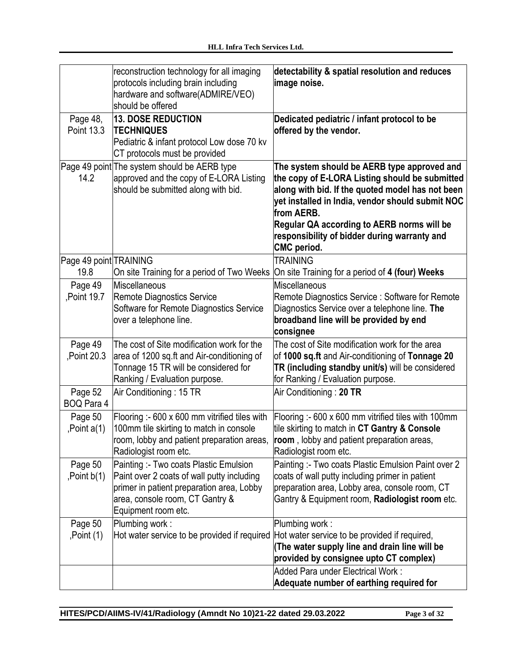|                               | reconstruction technology for all imaging<br>protocols including brain including<br>hardware and software(ADMIRE/VEO)<br>should be offered                                                  | detectability & spatial resolution and reduces<br>limage noise.                                                                                                                                                                                                                                                                         |
|-------------------------------|---------------------------------------------------------------------------------------------------------------------------------------------------------------------------------------------|-----------------------------------------------------------------------------------------------------------------------------------------------------------------------------------------------------------------------------------------------------------------------------------------------------------------------------------------|
| Page 48,<br><b>Point 13.3</b> | <b>13. DOSE REDUCTION</b><br><b>TECHNIQUES</b><br>Pediatric & infant protocol Low dose 70 kv<br>CT protocols must be provided                                                               | Dedicated pediatric / infant protocol to be<br>offered by the vendor.                                                                                                                                                                                                                                                                   |
| 14.2                          | Page 49 point The system should be AERB type<br>approved and the copy of E-LORA Listing<br>should be submitted along with bid.                                                              | The system should be AERB type approved and<br>the copy of E-LORA Listing should be submitted<br>along with bid. If the quoted model has not been<br>yet installed in India, vendor should submit NOC<br>from AERB.<br>Regular QA according to AERB norms will be<br>responsibility of bidder during warranty and<br><b>CMC</b> period. |
| Page 49 point TRAINING        |                                                                                                                                                                                             | <b>TRAINING</b>                                                                                                                                                                                                                                                                                                                         |
| 19.8                          | On site Training for a period of Two Weeks<br>Miscellaneous                                                                                                                                 | On site Training for a period of 4 (four) Weeks<br>Miscellaneous                                                                                                                                                                                                                                                                        |
| Page 49<br>,Point 19.7        | Remote Diagnostics Service<br>Software for Remote Diagnostics Service<br>over a telephone line.                                                                                             | Remote Diagnostics Service: Software for Remote<br>Diagnostics Service over a telephone line. The<br>broadband line will be provided by end<br>consignee                                                                                                                                                                                |
| Page 49<br>Point 20.3         | The cost of Site modification work for the<br>area of 1200 sq.ft and Air-conditioning of<br>Tonnage 15 TR will be considered for<br>Ranking / Evaluation purpose.                           | The cost of Site modification work for the area<br>of 1000 sq.ft and Air-conditioning of Tonnage 20<br>TR (including standby unit/s) will be considered<br>for Ranking / Evaluation purpose.                                                                                                                                            |
| Page 52<br><b>BOQ Para 4</b>  | Air Conditioning: 15 TR                                                                                                                                                                     | Air Conditioning: 20 TR                                                                                                                                                                                                                                                                                                                 |
| Page 50<br>, Point $a(1)$     | Flooring :- 600 x 600 mm vitrified tiles with<br>100mm tile skirting to match in console<br>room, lobby and patient preparation areas,<br>Radiologist room etc.                             | Flooring :- 600 x 600 mm vitrified tiles with 100mm<br>tile skirting to match in CT Gantry & Console<br>room, lobby and patient preparation areas,<br>Radiologist room etc.                                                                                                                                                             |
| Page 50<br>, Point $b(1)$     | Painting :- Two coats Plastic Emulsion<br>Paint over 2 coats of wall putty including<br>primer in patient preparation area, Lobby<br>area, console room, CT Gantry &<br>Equipment room etc. | Painting: - Two coats Plastic Emulsion Paint over 2<br>coats of wall putty including primer in patient<br>preparation area, Lobby area, console room, CT<br>Gantry & Equipment room, Radiologist room etc.                                                                                                                              |
| Page 50<br>Point(1)           | Plumbing work:<br>Hot water service to be provided if required                                                                                                                              | Plumbing work:<br>Hot water service to be provided if required,<br>The water supply line and drain line will be<br>provided by consignee upto CT complex)                                                                                                                                                                               |
|                               |                                                                                                                                                                                             | Added Para under Electrical Work:<br>Adequate number of earthing required for                                                                                                                                                                                                                                                           |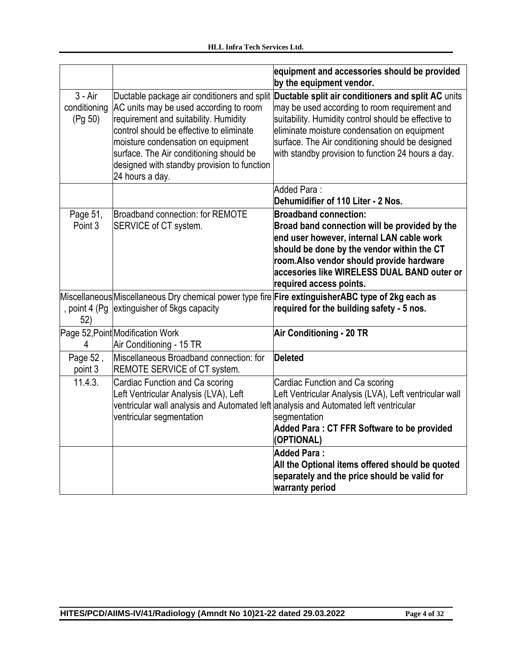|                                      |                                                                                                                                                                                                                                                                                | equipment and accessories should be provided<br>by the equipment vendor.                                                                                                                                                                                                                                                                                          |
|--------------------------------------|--------------------------------------------------------------------------------------------------------------------------------------------------------------------------------------------------------------------------------------------------------------------------------|-------------------------------------------------------------------------------------------------------------------------------------------------------------------------------------------------------------------------------------------------------------------------------------------------------------------------------------------------------------------|
| $3 - Air$<br>conditioning<br>(Pg 50) | AC units may be used according to room<br>requirement and suitability. Humidity<br>control should be effective to eliminate<br>moisture condensation on equipment<br>surface. The Air conditioning should be<br>designed with standby provision to function<br>24 hours a day. | Ductable package air conditioners and split Ductable split air conditioners and split AC units<br>may be used according to room requirement and<br>suitability. Humidity control should be effective to<br>eliminate moisture condensation on equipment<br>surface. The Air conditioning should be designed<br>with standby provision to function 24 hours a day. |
|                                      |                                                                                                                                                                                                                                                                                | Added Para:<br>Dehumidifier of 110 Liter - 2 Nos.                                                                                                                                                                                                                                                                                                                 |
| Page 51,<br>Point 3                  | <b>Broadband connection: for REMOTE</b><br>SERVICE of CT system.                                                                                                                                                                                                               | <b>Broadband connection:</b><br>Broad band connection will be provided by the<br>end user however, internal LAN cable work<br>should be done by the vendor within the CT<br>room.Also vendor should provide hardware<br>accesories like WIRELESS DUAL BAND outer or<br>required access points.                                                                    |
| , point 4 (Pg<br>52)                 | extinguisher of 5kgs capacity                                                                                                                                                                                                                                                  | Miscellaneous Miscellaneous Dry chemical power type fire Fire extinguisherABC type of 2kg each as<br>required for the building safety - 5 nos.                                                                                                                                                                                                                    |
| 4                                    | Page 52, Point Modification Work<br>Air Conditioning - 15 TR                                                                                                                                                                                                                   | <b>Air Conditioning - 20 TR</b>                                                                                                                                                                                                                                                                                                                                   |
| Page 52,<br>point 3                  | Miscellaneous Broadband connection: for<br>REMOTE SERVICE of CT system.                                                                                                                                                                                                        | <b>Deleted</b>                                                                                                                                                                                                                                                                                                                                                    |
| 11.4.3.                              | Cardiac Function and Ca scoring<br>Left Ventricular Analysis (LVA), Left<br>ventricular wall analysis and Automated left analysis and Automated left ventricular<br>ventricular segmentation                                                                                   | Cardiac Function and Ca scoring<br>Left Ventricular Analysis (LVA), Left ventricular wall<br>segmentation<br>Added Para: CT FFR Software to be provided<br>(OPTIONAL)                                                                                                                                                                                             |
|                                      |                                                                                                                                                                                                                                                                                | <b>Added Para:</b><br>All the Optional items offered should be quoted<br>separately and the price should be valid for<br>warranty period                                                                                                                                                                                                                          |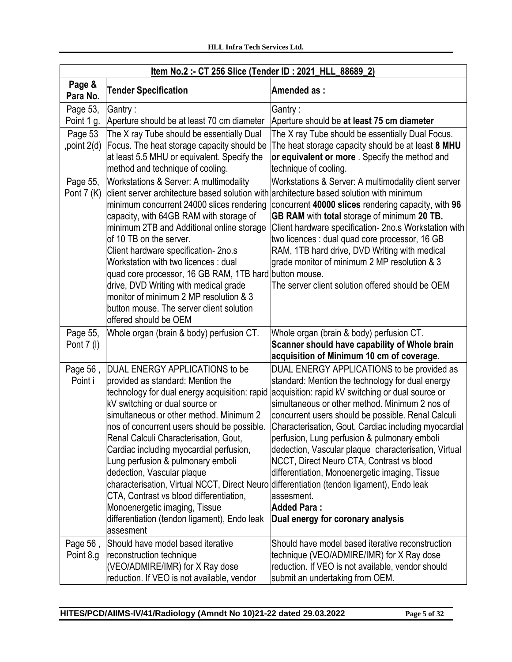| <u>Item No.2:- CT 256 Slice (Tender ID: 2021 HLL 88689 2)</u>                |                                                                                                                                                                                                                                                                                                                                                                                                                                                                                                                                                                                                                                                                                                                                                                         |                                                                                                                                                                                                                                                                                                                                                                                                                                                                                                                                                                                                                                                                                                                                                |
|------------------------------------------------------------------------------|-------------------------------------------------------------------------------------------------------------------------------------------------------------------------------------------------------------------------------------------------------------------------------------------------------------------------------------------------------------------------------------------------------------------------------------------------------------------------------------------------------------------------------------------------------------------------------------------------------------------------------------------------------------------------------------------------------------------------------------------------------------------------|------------------------------------------------------------------------------------------------------------------------------------------------------------------------------------------------------------------------------------------------------------------------------------------------------------------------------------------------------------------------------------------------------------------------------------------------------------------------------------------------------------------------------------------------------------------------------------------------------------------------------------------------------------------------------------------------------------------------------------------------|
| Page &<br>Para No.                                                           | <b>Tender Specification</b>                                                                                                                                                                                                                                                                                                                                                                                                                                                                                                                                                                                                                                                                                                                                             | Amended as:                                                                                                                                                                                                                                                                                                                                                                                                                                                                                                                                                                                                                                                                                                                                    |
| Page 53,<br>Point 1 g.<br>Page 53<br>, point 2(d)<br>Page 55,<br>Pont $7(K)$ | Gantry :<br>Aperture should be at least 70 cm diameter<br>The X ray Tube should be essentially Dual<br>Focus. The heat storage capacity should be<br>at least 5.5 MHU or equivalent. Specify the<br>method and technique of cooling.<br>Workstations & Server: A multimodality<br>client server architecture based solution with<br>minimum concurrent 24000 slices rendering<br>capacity, with 64GB RAM with storage of<br>minimum 2TB and Additional online storage<br>of 10 TB on the server.<br>Client hardware specification-2no.s<br>Workstation with two licences: dual<br>quad core processor, 16 GB RAM, 1TB hard button mouse.<br>drive, DVD Writing with medical grade<br>monitor of minimum 2 MP resolution & 3<br>button mouse. The server client solution | Gantry:<br>Aperture should be at least 75 cm diameter<br>The X ray Tube should be essentially Dual Focus.<br>The heat storage capacity should be at least 8 MHU<br>or equivalent or more. Specify the method and<br>technique of cooling.<br>Workstations & Server: A multimodality client server<br>architecture based solution with minimum<br>concurrent 40000 slices rendering capacity, with 96<br>GB RAM with total storage of minimum 20 TB.<br>Client hardware specification- 2no.s Workstation with<br>two licences : dual quad core processor, 16 GB<br>RAM, 1TB hard drive, DVD Writing with medical<br>grade monitor of minimum 2 MP resolution & 3<br>The server client solution offered should be OEM                            |
| Page 55,<br>Pont 7 (I)<br>Page 56,<br>Point i                                | offered should be OEM<br>Whole organ (brain & body) perfusion CT.<br>DUAL ENERGY APPLICATIONS to be<br>provided as standard: Mention the<br>technology for dual energy acquisition: rapid<br>kV switching or dual source or<br>simultaneous or other method. Minimum 2<br>nos of concurrent users should be possible.<br>Renal Calculi Characterisation, Gout,<br>Cardiac including myocardial perfusion,<br>Lung perfusion & pulmonary emboli<br>dedection, Vascular plaque<br>characterisation, Virtual NCCT, Direct Neuro differentiation (tendon ligament), Endo leak<br>CTA, Contrast vs blood differentiation,<br>Monoenergetic imaging, Tissue<br>differentiation (tendon ligament), Endo leak                                                                   | Whole organ (brain & body) perfusion CT.<br>Scanner should have capability of Whole brain<br>acquisition of Minimum 10 cm of coverage.<br>DUAL ENERGY APPLICATIONS to be provided as<br>standard: Mention the technology for dual energy<br>acquisition: rapid kV switching or dual source or<br>simultaneous or other method. Minimum 2 nos of<br>concurrent users should be possible. Renal Calculi<br>Characterisation, Gout, Cardiac including myocardial<br>perfusion, Lung perfusion & pulmonary emboli<br>dedection, Vascular plaque characterisation, Virtual<br>NCCT, Direct Neuro CTA, Contrast vs blood<br>differentiation, Monoenergetic imaging, Tissue<br>lassesment.<br><b>Added Para:</b><br>Dual energy for coronary analysis |
| Page 56,<br>Point 8.g                                                        | assesment<br>Should have model based iterative<br>reconstruction technique<br>(VEO/ADMIRE/IMR) for X Ray dose<br>reduction. If VEO is not available, vendor                                                                                                                                                                                                                                                                                                                                                                                                                                                                                                                                                                                                             | Should have model based iterative reconstruction<br>technique (VEO/ADMIRE/IMR) for X Ray dose<br>reduction. If VEO is not available, vendor should<br>submit an undertaking from OEM.                                                                                                                                                                                                                                                                                                                                                                                                                                                                                                                                                          |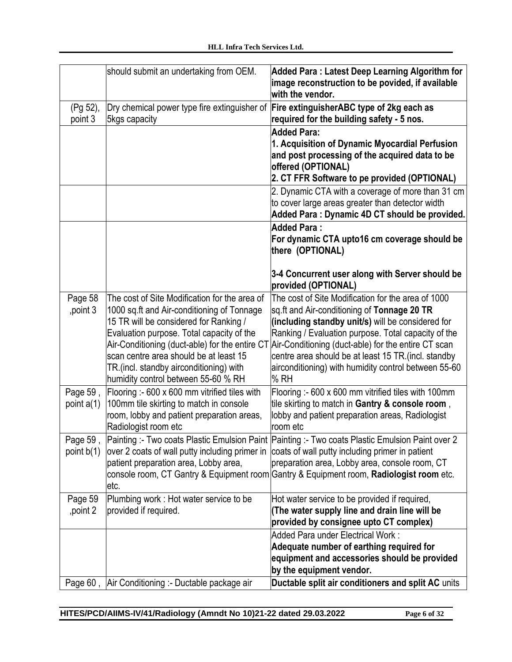|                          | should submit an undertaking from OEM.                                                                                                                                                                                                                                                                                                                           | <b>Added Para: Latest Deep Learning Algorithm for</b><br>image reconstruction to be povided, if available<br>with the vendor.                                                                                                                                                                                                                                                                |
|--------------------------|------------------------------------------------------------------------------------------------------------------------------------------------------------------------------------------------------------------------------------------------------------------------------------------------------------------------------------------------------------------|----------------------------------------------------------------------------------------------------------------------------------------------------------------------------------------------------------------------------------------------------------------------------------------------------------------------------------------------------------------------------------------------|
| (Pg 52),<br>point 3      | Dry chemical power type fire extinguisher of<br>5kgs capacity                                                                                                                                                                                                                                                                                                    | Fire extinguisherABC type of 2kg each as<br>required for the building safety - 5 nos.                                                                                                                                                                                                                                                                                                        |
|                          |                                                                                                                                                                                                                                                                                                                                                                  | <b>Added Para:</b><br>1. Acquisition of Dynamic Myocardial Perfusion<br>and post processing of the acquired data to be<br>offered (OPTIONAL)<br>2. CT FFR Software to pe provided (OPTIONAL)                                                                                                                                                                                                 |
|                          |                                                                                                                                                                                                                                                                                                                                                                  | 2. Dynamic CTA with a coverage of more than 31 cm<br>to cover large areas greater than detector width<br>Added Para: Dynamic 4D CT should be provided.                                                                                                                                                                                                                                       |
|                          |                                                                                                                                                                                                                                                                                                                                                                  | <b>Added Para:</b><br>For dynamic CTA upto16 cm coverage should be<br>there (OPTIONAL)                                                                                                                                                                                                                                                                                                       |
|                          |                                                                                                                                                                                                                                                                                                                                                                  | 3-4 Concurrent user along with Server should be<br>provided (OPTIONAL)                                                                                                                                                                                                                                                                                                                       |
| Page 58<br>, point 3     | The cost of Site Modification for the area of<br>1000 sq.ft and Air-conditioning of Tonnage<br>15 TR will be considered for Ranking /<br>Evaluation purpose. Total capacity of the<br>Air-Conditioning (duct-able) for the entire CT<br>scan centre area should be at least 15<br>TR.(incl. standby airconditioning) with<br>humidity control between 55-60 % RH | The cost of Site Modification for the area of 1000<br>sq.ft and Air-conditioning of Tonnage 20 TR<br>(including standby unit/s) will be considered for<br>Ranking / Evaluation purpose. Total capacity of the<br>Air-Conditioning (duct-able) for the entire CT scan<br>centre area should be at least 15 TR. (incl. standby<br>airconditioning) with humidity control between 55-60<br>% RH |
| Page 59,<br>point $a(1)$ | Flooring :- 600 x 600 mm vitrified tiles with<br>100mm tile skirting to match in console<br>room, lobby and patient preparation areas,<br>Radiologist room etc                                                                                                                                                                                                   | Flooring :- 600 x 600 mm vitrified tiles with 100mm<br>tile skirting to match in Gantry & console room,<br>lobby and patient preparation areas, Radiologist<br>room etc                                                                                                                                                                                                                      |
| Page 59,<br>point b(1)   | over 2 coats of wall putty including primer in<br>patient preparation area, Lobby area,<br>letc.                                                                                                                                                                                                                                                                 | Painting :- Two coats Plastic Emulsion Paint Painting :- Two coats Plastic Emulsion Paint over 2<br>coats of wall putty including primer in patient<br>preparation area, Lobby area, console room, CT<br>console room, CT Gantry & Equipment room Gantry & Equipment room, Radiologist room etc.                                                                                             |
| Page 59<br>point 2       | Plumbing work: Hot water service to be<br>provided if required.                                                                                                                                                                                                                                                                                                  | Hot water service to be provided if required,<br>(The water supply line and drain line will be<br>provided by consignee upto CT complex)                                                                                                                                                                                                                                                     |
|                          |                                                                                                                                                                                                                                                                                                                                                                  | Added Para under Electrical Work:<br>Adequate number of earthing required for<br>equipment and accessories should be provided<br>by the equipment vendor.                                                                                                                                                                                                                                    |
|                          | Page 60, Air Conditioning :- Ductable package air                                                                                                                                                                                                                                                                                                                | Ductable split air conditioners and split AC units                                                                                                                                                                                                                                                                                                                                           |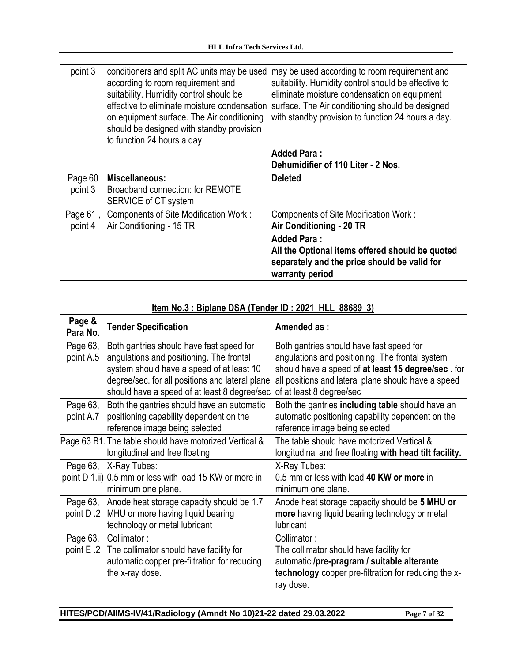| point 3             | conditioners and split AC units may be used<br>according to room requirement and<br>suitability. Humidity control should be<br>leffective to eliminate moisture condensation<br>on equipment surface. The Air conditioning<br>should be designed with standby provision<br>to function 24 hours a day | may be used according to room requirement and<br>suitability. Humidity control should be effective to<br>eliminate moisture condensation on equipment<br>surface. The Air conditioning should be designed<br>with standby provision to function 24 hours a day. |
|---------------------|-------------------------------------------------------------------------------------------------------------------------------------------------------------------------------------------------------------------------------------------------------------------------------------------------------|-----------------------------------------------------------------------------------------------------------------------------------------------------------------------------------------------------------------------------------------------------------------|
|                     |                                                                                                                                                                                                                                                                                                       | <b>Added Para:</b><br>Dehumidifier of 110 Liter - 2 Nos.                                                                                                                                                                                                        |
| Page 60             | Miscellaneous:                                                                                                                                                                                                                                                                                        | <b>IDeleted</b>                                                                                                                                                                                                                                                 |
| point 3             | Broadband connection: for REMOTE<br><b>SERVICE of CT system</b>                                                                                                                                                                                                                                       |                                                                                                                                                                                                                                                                 |
| Page 61,<br>point 4 | Components of Site Modification Work:<br>Air Conditioning - 15 TR                                                                                                                                                                                                                                     | Components of Site Modification Work:<br><b>Air Conditioning - 20 TR</b>                                                                                                                                                                                        |

| Item No.3 : Biplane DSA (Tender ID : 2021_HLL_88689_3) |                                                                                                 |                                                                                             |
|--------------------------------------------------------|-------------------------------------------------------------------------------------------------|---------------------------------------------------------------------------------------------|
| Page &<br>Para No.                                     | <b>Tender Specification</b>                                                                     | Amended as:                                                                                 |
| Page 63,<br>point A.5                                  | Both gantries should have fast speed for<br>angulations and positioning. The frontal            | Both gantries should have fast speed for<br>angulations and positioning. The frontal system |
|                                                        | system should have a speed of at least 10                                                       | should have a speed of at least 15 degree/sec. for                                          |
|                                                        | degree/sec. for all positions and lateral plane<br>should have a speed of at least 8 degree/sec | all positions and lateral plane should have a speed<br>of at least 8 degree/sec             |
| Page 63,                                               | Both the gantries should have an automatic                                                      | Both the gantries including table should have an                                            |
| point A.7                                              | positioning capability dependent on the                                                         | automatic positioning capability dependent on the                                           |
|                                                        | reference image being selected                                                                  | reference image being selected                                                              |
|                                                        | Page 63 B1. The table should have motorized Vertical &                                          | The table should have motorized Vertical &                                                  |
|                                                        | longitudinal and free floating                                                                  | longitudinal and free floating with head tilt facility.                                     |
| Page 63,                                               | X-Ray Tubes:                                                                                    | X-Ray Tubes:                                                                                |
|                                                        | point D 1.ii) 0.5 mm or less with load 15 KW or more in                                         | 0.5 mm or less with load 40 KW or more in                                                   |
|                                                        | minimum one plane.                                                                              | minimum one plane.                                                                          |
| Page 63,                                               | Anode heat storage capacity should be 1.7                                                       | Anode heat storage capacity should be 5 MHU or                                              |
| point D.2                                              | MHU or more having liquid bearing                                                               | more having liquid bearing technology or metal                                              |
|                                                        | technology or metal lubricant                                                                   | lubricant                                                                                   |
| Page 63,                                               | Collimator:                                                                                     | Collimator:                                                                                 |
| point E .2                                             | The collimator should have facility for                                                         | The collimator should have facility for                                                     |
|                                                        | automatic copper pre-filtration for reducing                                                    | automatic /pre-pragram / suitable alterante                                                 |
|                                                        | the x-ray dose.                                                                                 | technology copper pre-filtration for reducing the x-                                        |
|                                                        |                                                                                                 | ray dose.                                                                                   |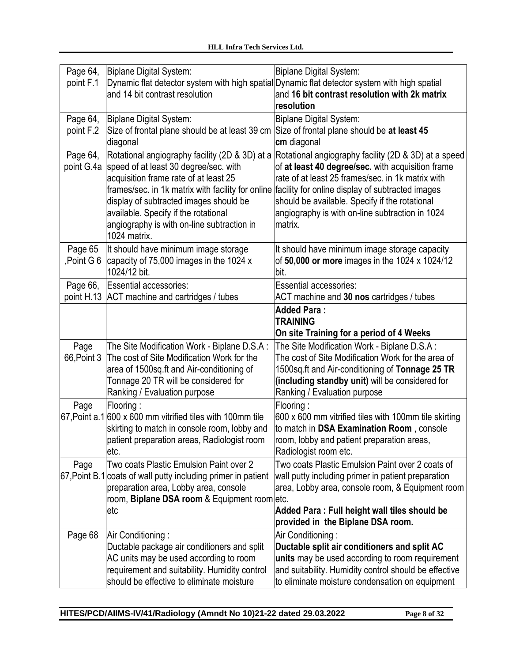| Page 64,<br>point F.1  | Biplane Digital System:<br>and 14 bit contrast resolution                                                                                                                                                                                                                        | <b>Biplane Digital System:</b><br>Dynamic flat detector system with high spatial Dynamic flat detector system with high spatial<br>and 16 bit contrast resolution with 2k matrix<br>resolution                                                                                                                                                                                       |
|------------------------|----------------------------------------------------------------------------------------------------------------------------------------------------------------------------------------------------------------------------------------------------------------------------------|--------------------------------------------------------------------------------------------------------------------------------------------------------------------------------------------------------------------------------------------------------------------------------------------------------------------------------------------------------------------------------------|
| Page 64,<br>point F.2  | Biplane Digital System:<br>Size of frontal plane should be at least 39 cm<br>diagonal                                                                                                                                                                                            | <b>Biplane Digital System:</b><br>Size of frontal plane should be at least 45<br>cm diagonal                                                                                                                                                                                                                                                                                         |
| Page 64,<br>point G.4a | Rotational angiography facility (2D & 3D) at a<br>speed of at least 30 degree/sec. with<br>acquisition frame rate of at least 25<br>display of subtracted images should be<br>available. Specify if the rotational<br>angiography is with on-line subtraction in<br>1024 matrix. | Rotational angiography facility (2D & 3D) at a speed<br>of at least 40 degree/sec. with acquisition frame<br>rate of at least 25 frames/sec. in 1k matrix with<br>frames/sec. in 1k matrix with facility for online facility for online display of subtracted images<br>should be available. Specify if the rotational<br>angiography is with on-line subtraction in 1024<br>matrix. |
| Page 65<br>Point G 6,  | It should have minimum image storage<br>capacity of 75,000 images in the 1024 x<br>1024/12 bit.                                                                                                                                                                                  | It should have minimum image storage capacity<br>of 50,000 or more images in the 1024 x 1024/12<br>bit.                                                                                                                                                                                                                                                                              |
| Page 66,<br>point H.13 | Essential accessories:<br>ACT machine and cartridges / tubes                                                                                                                                                                                                                     | <b>Essential accessories:</b><br>ACT machine and 30 nos cartridges / tubes                                                                                                                                                                                                                                                                                                           |
|                        |                                                                                                                                                                                                                                                                                  | <b>Added Para:</b><br><b>TRAINING</b><br>On site Training for a period of 4 Weeks                                                                                                                                                                                                                                                                                                    |
| Page<br>66, Point 3    | The Site Modification Work - Biplane D.S.A :<br>The cost of Site Modification Work for the<br>area of 1500sq.ft and Air-conditioning of<br>Tonnage 20 TR will be considered for<br>Ranking / Evaluation purpose                                                                  | The Site Modification Work - Biplane D.S.A :<br>The cost of Site Modification Work for the area of<br>1500sq.ft and Air-conditioning of Tonnage 25 TR<br>(including standby unit) will be considered for<br>Ranking / Evaluation purpose                                                                                                                                             |
| Page                   | Flooring:<br>67, Point a.1 600 x 600 mm vitrified tiles with 100mm tile<br>skirting to match in console room, lobby and<br>patient preparation areas, Radiologist room<br>etc.                                                                                                   | Flooring:<br>600 x 600 mm vitrified tiles with 100mm tile skirting<br>to match in DSA Examination Room, console<br>room, lobby and patient preparation areas,<br>Radiologist room etc.                                                                                                                                                                                               |
| Page                   | Two coats Plastic Emulsion Paint over 2<br>67, Point B.1 coats of wall putty including primer in patient<br>preparation area, Lobby area, console<br>room, Biplane DSA room & Equipment room etc.<br>letc                                                                        | Two coats Plastic Emulsion Paint over 2 coats of<br>wall putty including primer in patient preparation<br>area, Lobby area, console room, & Equipment room<br>Added Para: Full height wall tiles should be<br>provided in the Biplane DSA room.                                                                                                                                      |
| Page 68                | Air Conditioning:<br>Ductable package air conditioners and split                                                                                                                                                                                                                 | Air Conditioning:<br>Ductable split air conditioners and split AC                                                                                                                                                                                                                                                                                                                    |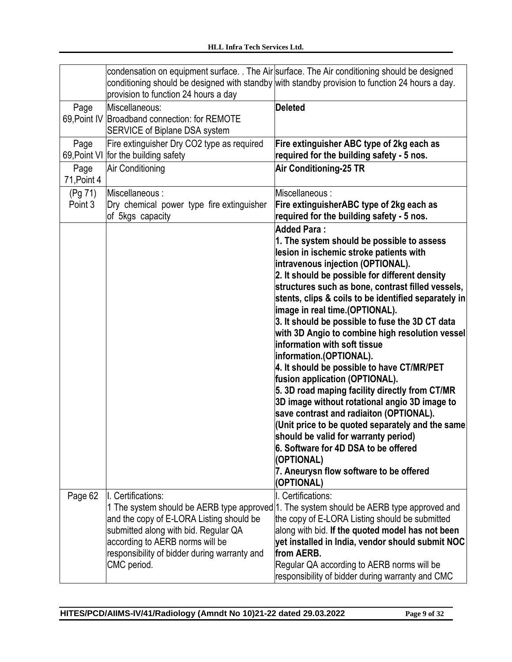|                     |                                                                                 | condensation on equipment surface. The Air surface. The Air conditioning should be designed<br>conditioning should be designed with standby with standby provision to function 24 hours a day. |
|---------------------|---------------------------------------------------------------------------------|------------------------------------------------------------------------------------------------------------------------------------------------------------------------------------------------|
|                     | provision to function 24 hours a day                                            |                                                                                                                                                                                                |
| Page                | Miscellaneous:                                                                  | <b>Deleted</b>                                                                                                                                                                                 |
| 69, Point IV        | Broadband connection: for REMOTE                                                |                                                                                                                                                                                                |
|                     | <b>SERVICE of Biplane DSA system</b>                                            |                                                                                                                                                                                                |
| Page                | Fire extinguisher Dry CO2 type as required                                      | Fire extinguisher ABC type of 2kg each as                                                                                                                                                      |
|                     | 69, Point VI for the building safety                                            | required for the building safety - 5 nos.                                                                                                                                                      |
| Page<br>71, Point 4 | Air Conditioning                                                                | <b>Air Conditioning-25 TR</b>                                                                                                                                                                  |
|                     |                                                                                 |                                                                                                                                                                                                |
| (Pg 71)<br>Point 3  | Miscellaneous:<br>Dry chemical power type fire extinguisher                     | Miscellaneous:<br>Fire extinguisherABC type of 2kg each as                                                                                                                                     |
|                     | of 5kgs capacity                                                                | required for the building safety - 5 nos.                                                                                                                                                      |
|                     |                                                                                 | <b>Added Para:</b>                                                                                                                                                                             |
|                     |                                                                                 | 1. The system should be possible to assess                                                                                                                                                     |
|                     |                                                                                 | lesion in ischemic stroke patients with                                                                                                                                                        |
|                     |                                                                                 | intravenous injection (OPTIONAL).                                                                                                                                                              |
|                     |                                                                                 | 2. It should be possible for different density                                                                                                                                                 |
|                     |                                                                                 | structures such as bone, contrast filled vessels,                                                                                                                                              |
|                     |                                                                                 | stents, clips & coils to be identified separately in                                                                                                                                           |
|                     |                                                                                 | image in real time. (OPTIONAL).                                                                                                                                                                |
|                     |                                                                                 | 3. It should be possible to fuse the 3D CT data<br>with 3D Angio to combine high resolution vessel                                                                                             |
|                     |                                                                                 | information with soft tissue                                                                                                                                                                   |
|                     |                                                                                 | information.(OPTIONAL).                                                                                                                                                                        |
|                     |                                                                                 | 4. It should be possible to have CT/MR/PET                                                                                                                                                     |
|                     |                                                                                 | fusion application (OPTIONAL).                                                                                                                                                                 |
|                     |                                                                                 | 5. 3D road maping facility directly from CT/MR                                                                                                                                                 |
|                     |                                                                                 | 3D image without rotational angio 3D image to                                                                                                                                                  |
|                     |                                                                                 | save contrast and radiaiton (OPTIONAL).                                                                                                                                                        |
|                     |                                                                                 | (Unit price to be quoted separately and the same<br>should be valid for warranty period)                                                                                                       |
|                     |                                                                                 | 6. Software for 4D DSA to be offered                                                                                                                                                           |
|                     |                                                                                 | (OPTIONAL)                                                                                                                                                                                     |
|                     |                                                                                 | 7. Aneurysn flow software to be offered                                                                                                                                                        |
|                     |                                                                                 | (OPTIONAL)                                                                                                                                                                                     |
| Page 62             | I. Certifications:                                                              | I. Certifications:                                                                                                                                                                             |
|                     |                                                                                 | 1 The system should be AERB type approved 1. The system should be AERB type approved and                                                                                                       |
|                     | and the copy of E-LORA Listing should be                                        | the copy of E-LORA Listing should be submitted                                                                                                                                                 |
|                     | submitted along with bid. Regular QA                                            | along with bid. If the quoted model has not been                                                                                                                                               |
|                     | according to AERB norms will be<br>responsibility of bidder during warranty and | yet installed in India, vendor should submit NOC<br>from AERB.                                                                                                                                 |
|                     | CMC period.                                                                     | Regular QA according to AERB norms will be                                                                                                                                                     |
|                     |                                                                                 | responsibility of bidder during warranty and CMC                                                                                                                                               |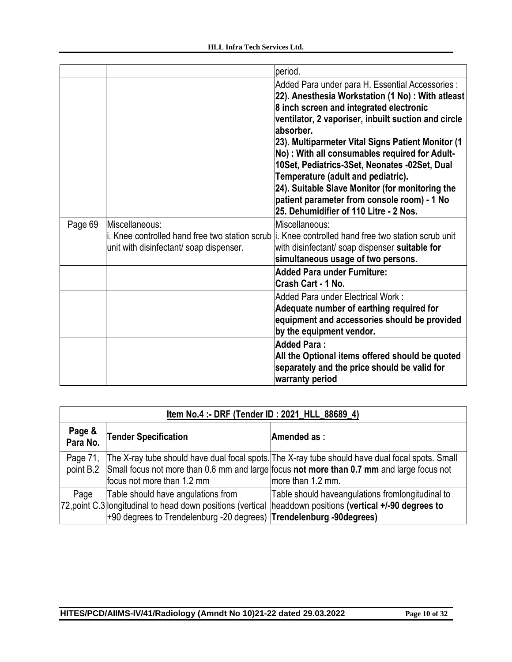|         |                                                           | period.                                                                                                                                                                                                                                                                                                                                                                                                                                                                                                                                                       |
|---------|-----------------------------------------------------------|---------------------------------------------------------------------------------------------------------------------------------------------------------------------------------------------------------------------------------------------------------------------------------------------------------------------------------------------------------------------------------------------------------------------------------------------------------------------------------------------------------------------------------------------------------------|
|         |                                                           | Added Para under para H. Essential Accessories :<br>22). Anesthesia Workstation (1 No): With atleast<br>8 inch screen and integrated electronic<br>ventilator, 2 vaporiser, inbuilt suction and circle<br>labsorber.<br>23). Multiparmeter Vital Signs Patient Monitor (1<br>No): With all consumables required for Adult-<br>10Set, Pediatrics-3Set, Neonates -02Set, Dual<br>Temperature (adult and pediatric).<br>24). Suitable Slave Monitor (for monitoring the<br>patient parameter from console room) - 1 No<br>25. Dehumidifier of 110 Litre - 2 Nos. |
| Page 69 | Miscellaneous:<br>unit with disinfectant/ soap dispenser. | Miscellaneous:<br>i. Knee controlled hand free two station scrub li. Knee controlled hand free two station scrub unit<br>with disinfectant/ soap dispenser suitable for<br>simultaneous usage of two persons.<br><b>Added Para under Furniture:</b>                                                                                                                                                                                                                                                                                                           |
|         |                                                           | Crash Cart - 1 No.<br>Added Para under Electrical Work:<br>Adequate number of earthing required for<br>equipment and accessories should be provided<br>by the equipment vendor.                                                                                                                                                                                                                                                                                                                                                                               |
|         |                                                           | <b>Added Para:</b><br>All the Optional items offered should be quoted<br>separately and the price should be valid for<br>warranty period                                                                                                                                                                                                                                                                                                                                                                                                                      |

| Item No.4 :- DRF (Tender ID: 2021 HLL 88689 4) |                                                                                                            |                                                                                                                                                                                                                             |
|------------------------------------------------|------------------------------------------------------------------------------------------------------------|-----------------------------------------------------------------------------------------------------------------------------------------------------------------------------------------------------------------------------|
| Page &<br>Para No.                             | <b>Tender Specification</b>                                                                                | Amended as:                                                                                                                                                                                                                 |
| Page 71.                                       | focus not more than 1.2 mm                                                                                 | The X-ray tube should have dual focal spots. The X-ray tube should have dual focal spots. Small<br>point B.2 Small focus not more than 0.6 mm and large focus not more than 0.7 mm and large focus not<br>more than 1.2 mm. |
| Page                                           | Table should have angulations from<br>+90 degrees to Trendelenburg -20 degrees) Trendelenburg -90 degrees) | Table should haveangulations fromlongitudinal to<br>72, point C.3 longitudinal to head down positions (vertical  headdown positions (vertical +/-90 degrees to                                                              |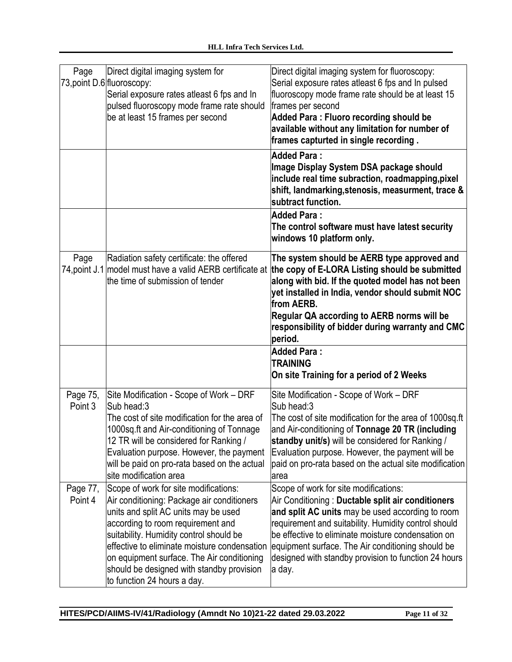| Page                  | Direct digital imaging system for<br>73, point D.6 fluoroscopy:<br>Serial exposure rates atleast 6 fps and In<br>pulsed fluoroscopy mode frame rate should<br>be at least 15 frames per second                                                                                                                                                                                        | Direct digital imaging system for fluoroscopy:<br>Serial exposure rates atleast 6 fps and In pulsed<br>fluoroscopy mode frame rate should be at least 15<br>frames per second<br>Added Para: Fluoro recording should be<br>available without any limitation for number of<br>frames capturted in single recording.                                                                  |
|-----------------------|---------------------------------------------------------------------------------------------------------------------------------------------------------------------------------------------------------------------------------------------------------------------------------------------------------------------------------------------------------------------------------------|-------------------------------------------------------------------------------------------------------------------------------------------------------------------------------------------------------------------------------------------------------------------------------------------------------------------------------------------------------------------------------------|
|                       |                                                                                                                                                                                                                                                                                                                                                                                       | <b>Added Para:</b><br>Image Display System DSA package should<br>include real time subraction, roadmapping, pixel<br>shift, landmarking, stenosis, measurment, trace &<br>subtract function.                                                                                                                                                                                        |
|                       |                                                                                                                                                                                                                                                                                                                                                                                       | <b>Added Para:</b><br>The control software must have latest security<br>windows 10 platform only.                                                                                                                                                                                                                                                                                   |
| Page<br>74, point J.1 | Radiation safety certificate: the offered<br>model must have a valid AERB certificate at<br>the time of submission of tender                                                                                                                                                                                                                                                          | The system should be AERB type approved and<br>the copy of E-LORA Listing should be submitted<br>along with bid. If the quoted model has not been<br>yet installed in India, vendor should submit NOC<br>from AERB.<br>Regular QA according to AERB norms will be<br>responsibility of bidder during warranty and CMC<br>period.                                                    |
|                       |                                                                                                                                                                                                                                                                                                                                                                                       | <b>Added Para:</b><br><b>TRAINING</b><br>On site Training for a period of 2 Weeks                                                                                                                                                                                                                                                                                                   |
| Page 75,<br>Point 3   | Site Modification - Scope of Work - DRF<br>Sub head:3<br>The cost of site modification for the area of<br>1000sq.ft and Air-conditioning of Tonnage<br>12 TR will be considered for Ranking /<br>Evaluation purpose. However, the payment<br>will be paid on pro-rata based on the actual<br>site modification area                                                                   | Site Modification - Scope of Work – DRF<br>Sub head:3<br>The cost of site modification for the area of 1000sq.ft<br>and Air-conditioning of Tonnage 20 TR (including<br><b>standby unit/s)</b> will be considered for Ranking /<br>Evaluation purpose. However, the payment will be<br>paid on pro-rata based on the actual site modification<br>area                               |
| Page 77,<br>Point 4   | Scope of work for site modifications:<br>Air conditioning: Package air conditioners<br>units and split AC units may be used<br>according to room requirement and<br>suitability. Humidity control should be<br>effective to eliminate moisture condensation<br>on equipment surface. The Air conditioning<br>should be designed with standby provision<br>to function 24 hours a day. | Scope of work for site modifications:<br>Air Conditioning: Ductable split air conditioners<br>and split AC units may be used according to room<br>requirement and suitability. Humidity control should<br>be effective to eliminate moisture condensation on<br>equipment surface. The Air conditioning should be<br>designed with standby provision to function 24 hours<br>a day. |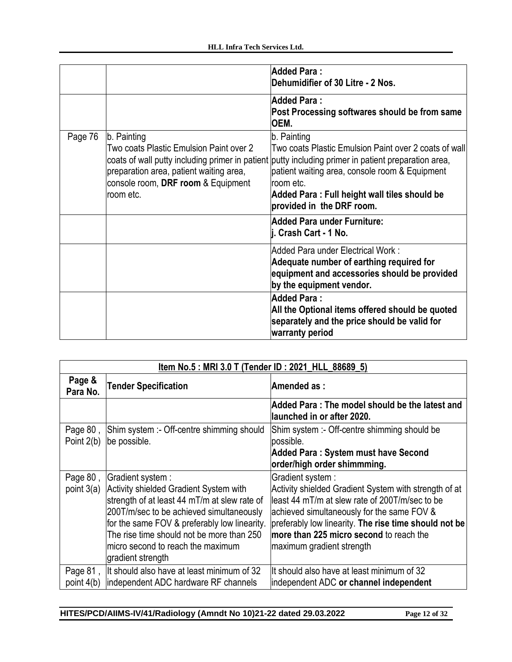|         |                                                                                                                                                      | <b>Added Para:</b><br>Dehumidifier of 30 Litre - 2 Nos.                                                                                                                                                                                                                                                                 |
|---------|------------------------------------------------------------------------------------------------------------------------------------------------------|-------------------------------------------------------------------------------------------------------------------------------------------------------------------------------------------------------------------------------------------------------------------------------------------------------------------------|
|         |                                                                                                                                                      | <b>Added Para:</b><br>Post Processing softwares should be from same<br>OEM.                                                                                                                                                                                                                                             |
| Page 76 | b. Painting<br>Two coats Plastic Emulsion Paint over 2<br>preparation area, patient waiting area,<br>console room, DRF room & Equipment<br>room etc. | b. Painting<br>Two coats Plastic Emulsion Paint over 2 coats of wall<br>coats of wall putty including primer in patient putty including primer in patient preparation area,<br>patient waiting area, console room & Equipment<br>room etc.<br>Added Para: Full height wall tiles should be<br>provided in the DRF room. |
|         |                                                                                                                                                      | Added Para under Furniture:<br>j. Crash Cart - 1 No.                                                                                                                                                                                                                                                                    |
|         |                                                                                                                                                      | Added Para under Electrical Work:<br>Adequate number of earthing required for<br>equipment and accessories should be provided<br>by the equipment vendor.                                                                                                                                                               |
|         |                                                                                                                                                      | <b>Added Para:</b><br>All the Optional items offered should be quoted<br>separately and the price should be valid for<br>warranty period                                                                                                                                                                                |

| Item No.5: MRI 3.0 T (Tender ID: 2021 HLL 88689 5) |                                              |                                                                               |
|----------------------------------------------------|----------------------------------------------|-------------------------------------------------------------------------------|
| Page &<br>Para No.                                 | <b>Tender Specification</b>                  | Amended as:                                                                   |
|                                                    |                                              | Added Para : The model should be the latest and<br>launched in or after 2020. |
| Page $801$                                         | Shim system :- Off-centre shimming should    | Shim system :- Off-centre shimming should be                                  |
| Point 2(b)                                         | be possible.                                 | possible.                                                                     |
|                                                    |                                              | Added Para: System must have Second                                           |
|                                                    |                                              | order/high order shimmming.                                                   |
| Page 80,                                           | Gradient system :                            | Gradient system :                                                             |
| point $3(a)$                                       | Activity shielded Gradient System with       | Activity shielded Gradient System with strength of at                         |
|                                                    | strength of at least 44 mT/m at slew rate of | lleast 44 mT/m at slew rate of 200T/m/sec to be                               |
|                                                    | 200T/m/sec to be achieved simultaneously     | achieved simultaneously for the same FOV &                                    |
|                                                    | for the same FOV & preferably low linearity. | preferably low linearity. The rise time should not be                         |
|                                                    | The rise time should not be more than 250    | lmore than 225 micro second to reach the                                      |
|                                                    | micro second to reach the maximum            | maximum gradient strength                                                     |
|                                                    | gradient strength                            |                                                                               |
| Page $81$ ,                                        | It should also have at least minimum of 32   | llt should also have at least minimum of 32                                   |
| point $4(b)$                                       | independent ADC hardware RF channels         | independent ADC or channel independent                                        |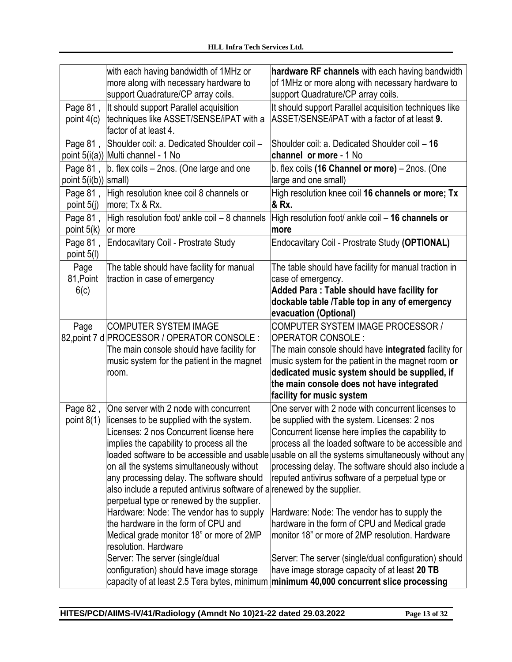|                                  | with each having bandwidth of 1MHz or<br>more along with necessary hardware to<br>support Quadrature/CP array coils.                                                                                                                                                                                                                                                                                                                                                                                                                                                                                                                                                                | hardware RF channels with each having bandwidth<br>of 1MHz or more along with necessary hardware to<br>support Quadrature/CP array coils.                                                                                                                                                                                                                                                                                                                                                                                                                                                                                                                                                                                                    |
|----------------------------------|-------------------------------------------------------------------------------------------------------------------------------------------------------------------------------------------------------------------------------------------------------------------------------------------------------------------------------------------------------------------------------------------------------------------------------------------------------------------------------------------------------------------------------------------------------------------------------------------------------------------------------------------------------------------------------------|----------------------------------------------------------------------------------------------------------------------------------------------------------------------------------------------------------------------------------------------------------------------------------------------------------------------------------------------------------------------------------------------------------------------------------------------------------------------------------------------------------------------------------------------------------------------------------------------------------------------------------------------------------------------------------------------------------------------------------------------|
| Page 81,<br>point $4(c)$         | It should support Parallel acquisition<br>techniques like ASSET/SENSE/iPAT with a<br>factor of at least 4.                                                                                                                                                                                                                                                                                                                                                                                                                                                                                                                                                                          | It should support Parallel acquisition techniques like<br>ASSET/SENSE/iPAT with a factor of at least 9.                                                                                                                                                                                                                                                                                                                                                                                                                                                                                                                                                                                                                                      |
| Page 81,                         | Shoulder coil: a. Dedicated Shoulder coil -<br>point 5(i(a)) Multi channel - 1 No                                                                                                                                                                                                                                                                                                                                                                                                                                                                                                                                                                                                   | Shoulder coil: a. Dedicated Shoulder coil - 16<br>channel or more - 1 No                                                                                                                                                                                                                                                                                                                                                                                                                                                                                                                                                                                                                                                                     |
| Page 81,<br>point 5(i(b)) small) | b. flex coils - 2nos. (One large and one                                                                                                                                                                                                                                                                                                                                                                                                                                                                                                                                                                                                                                            | b. flex coils (16 Channel or more) - 2nos. (One<br>large and one small)                                                                                                                                                                                                                                                                                                                                                                                                                                                                                                                                                                                                                                                                      |
| Page 81,<br>point 5(j)           | High resolution knee coil 8 channels or<br> more; Tx & Rx.                                                                                                                                                                                                                                                                                                                                                                                                                                                                                                                                                                                                                          | High resolution knee coil 16 channels or more; Tx<br>& Rx.                                                                                                                                                                                                                                                                                                                                                                                                                                                                                                                                                                                                                                                                                   |
| Page 81,<br>point 5(k)           | High resolution foot/ ankle coil - 8 channels<br>or more                                                                                                                                                                                                                                                                                                                                                                                                                                                                                                                                                                                                                            | High resolution foot/ ankle coil - 16 channels or<br>more                                                                                                                                                                                                                                                                                                                                                                                                                                                                                                                                                                                                                                                                                    |
| Page 81,<br>point 5(I)           | Endocavitary Coil - Prostrate Study                                                                                                                                                                                                                                                                                                                                                                                                                                                                                                                                                                                                                                                 | Endocavitary Coil - Prostrate Study (OPTIONAL)                                                                                                                                                                                                                                                                                                                                                                                                                                                                                                                                                                                                                                                                                               |
| Page<br>81, Point<br>6(c)        | The table should have facility for manual<br>traction in case of emergency                                                                                                                                                                                                                                                                                                                                                                                                                                                                                                                                                                                                          | The table should have facility for manual traction in<br>case of emergency.<br>Added Para: Table should have facility for<br>dockable table /Table top in any of emergency<br>evacuation (Optional)                                                                                                                                                                                                                                                                                                                                                                                                                                                                                                                                          |
| Page                             | <b>COMPUTER SYSTEM IMAGE</b><br>82, point 7 d PROCESSOR / OPERATOR CONSOLE :<br>The main console should have facility for<br>music system for the patient in the magnet<br>room.                                                                                                                                                                                                                                                                                                                                                                                                                                                                                                    | COMPUTER SYSTEM IMAGE PROCESSOR /<br><b>OPERATOR CONSOLE:</b><br>The main console should have integrated facility for<br>music system for the patient in the magnet room or<br>dedicated music system should be supplied, if<br>the main console does not have integrated<br>facility for music system                                                                                                                                                                                                                                                                                                                                                                                                                                       |
| Page 82,<br>point $8(1)$         | One server with 2 node with concurrent<br>licenses to be supplied with the system.<br>Licenses: 2 nos Concurrent license here<br>implies the capability to process all the<br>on all the systems simultaneously without<br>any processing delay. The software should<br>also include a reputed antivirus software of a renewed by the supplier.<br>perpetual type or renewed by the supplier.<br>Hardware: Node: The vendor has to supply<br>the hardware in the form of CPU and<br>Medical grade monitor 18" or more of 2MP<br>resolution. Hardware<br>Server: The server (single/dual<br>configuration) should have image storage<br>capacity of at least 2.5 Tera bytes, minimum | One server with 2 node with concurrent licenses to<br>be supplied with the system. Licenses: 2 nos<br>Concurrent license here implies the capability to<br>process all the loaded software to be accessible and<br>loaded software to be accessible and usable usable on all the systems simultaneously without any<br>processing delay. The software should also include a<br>reputed antivirus software of a perpetual type or<br>Hardware: Node: The vendor has to supply the<br>hardware in the form of CPU and Medical grade<br>monitor 18" or more of 2MP resolution. Hardware<br>Server: The server (single/dual configuration) should<br>have image storage capacity of at least 20 TB<br>minimum 40,000 concurrent slice processing |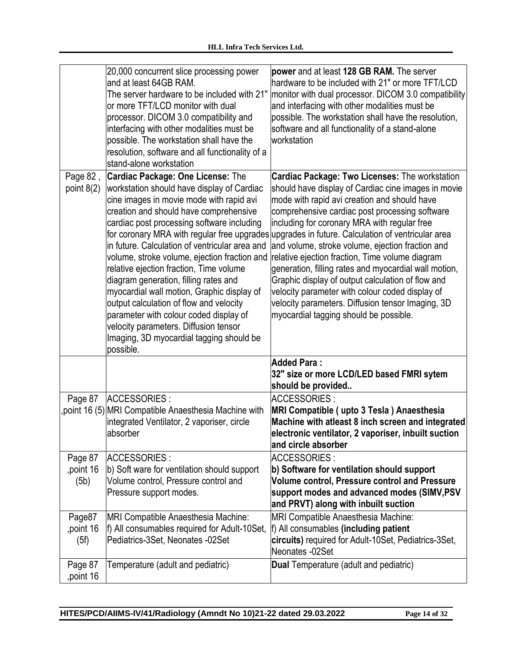|                             | 20,000 concurrent slice processing power<br>and at least 64GB RAM.<br>The server hardware to be included with 21"<br>or more TFT/LCD monitor with dual<br>processor. DICOM 3.0 compatibility and                                                                                                                                                                                                                                                                                                                                                                                                                                                                                                     | power and at least 128 GB RAM. The server<br>hardware to be included with 21" or more TFT/LCD<br>monitor with dual processor. DICOM 3.0 compatibility<br>and interfacing with other modalities must be<br>possible. The workstation shall have the resolution,                                                                                                                                                                                                                                                                                                                                                                                                                               |
|-----------------------------|------------------------------------------------------------------------------------------------------------------------------------------------------------------------------------------------------------------------------------------------------------------------------------------------------------------------------------------------------------------------------------------------------------------------------------------------------------------------------------------------------------------------------------------------------------------------------------------------------------------------------------------------------------------------------------------------------|----------------------------------------------------------------------------------------------------------------------------------------------------------------------------------------------------------------------------------------------------------------------------------------------------------------------------------------------------------------------------------------------------------------------------------------------------------------------------------------------------------------------------------------------------------------------------------------------------------------------------------------------------------------------------------------------|
|                             | interfacing with other modalities must be<br>possible. The workstation shall have the<br>resolution, software and all functionality of a<br>stand-alone workstation                                                                                                                                                                                                                                                                                                                                                                                                                                                                                                                                  | software and all functionality of a stand-alone<br>workstation                                                                                                                                                                                                                                                                                                                                                                                                                                                                                                                                                                                                                               |
| Page 82,<br>point $8(2)$    | <b>Cardiac Package: One License: The</b><br>workstation should have display of Cardiac<br>cine images in movie mode with rapid avi<br>creation and should have comprehensive<br>cardiac post processing software including<br>for coronary MRA with regular free upgrades<br>in future. Calculation of ventricular area and<br>volume, stroke volume, ejection fraction and<br>relative ejection fraction, Time volume<br>diagram generation, filling rates and<br>myocardial wall motion, Graphic display of<br>output calculation of flow and velocity<br>parameter with colour coded display of<br>velocity parameters. Diffusion tensor<br>Imaging, 3D myocardial tagging should be<br>possible. | <b>Cardiac Package: Two Licenses: The workstation</b><br>should have display of Cardiac cine images in movie<br>mode with rapid avi creation and should have<br>comprehensive cardiac post processing software<br>including for coronary MRA with regular free<br>upgrades in future. Calculation of ventricular area<br>and volume, stroke volume, ejection fraction and<br>relative ejection fraction, Time volume diagram<br>generation, filling rates and myocardial wall motion,<br>Graphic display of output calculation of flow and<br>velocity parameter with colour coded display of<br>velocity parameters. Diffusion tensor Imaging, 3D<br>myocardial tagging should be possible. |
|                             |                                                                                                                                                                                                                                                                                                                                                                                                                                                                                                                                                                                                                                                                                                      | Added Para:<br>32" size or more LCD/LED based FMRI sytem<br>should be provided                                                                                                                                                                                                                                                                                                                                                                                                                                                                                                                                                                                                               |
| Page 87                     | ACCESSORIES :<br>point 16 (5) MRI Compatible Anaesthesia Machine with<br>integrated Ventilator, 2 vaporiser, circle<br>absorber                                                                                                                                                                                                                                                                                                                                                                                                                                                                                                                                                                      | <b>ACCESSORIES:</b><br>MRI Compatible (upto 3 Tesla) Anaesthesia<br>Machine with atleast 8 inch screen and integrated<br>electronic ventilator, 2 vaporiser, inbuilt suction<br>and circle absorber                                                                                                                                                                                                                                                                                                                                                                                                                                                                                          |
| Page 87<br>point 16<br>(5b) | ACCESSORIES :<br>b) Soft ware for ventilation should support<br>Volume control, Pressure control and<br>Pressure support modes.                                                                                                                                                                                                                                                                                                                                                                                                                                                                                                                                                                      | ACCESSORIES:<br>b) Software for ventilation should support<br><b>Volume control, Pressure control and Pressure</b><br>support modes and advanced modes (SIMV, PSV<br>and PRVT) along with inbuilt suction                                                                                                                                                                                                                                                                                                                                                                                                                                                                                    |
| Page87<br>point 16<br>(5f)  | <b>MRI Compatible Anaesthesia Machine:</b><br>f) All consumables required for Adult-10Set,<br>Pediatrics-3Set, Neonates -02Set                                                                                                                                                                                                                                                                                                                                                                                                                                                                                                                                                                       | <b>MRI Compatible Anaesthesia Machine:</b><br>f) All consumables (including patient<br>circuits) required for Adult-10Set, Pediatrics-3Set,<br>Neonates -02Set                                                                                                                                                                                                                                                                                                                                                                                                                                                                                                                               |
| Page 87<br>point 16         | Temperature (adult and pediatric)                                                                                                                                                                                                                                                                                                                                                                                                                                                                                                                                                                                                                                                                    | <b>Dual Temperature (adult and pediatric)</b>                                                                                                                                                                                                                                                                                                                                                                                                                                                                                                                                                                                                                                                |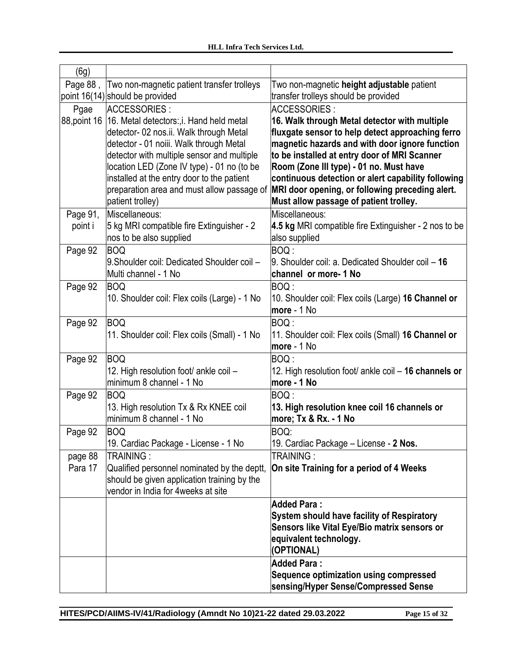| (6g)               |                                                          |                                                              |
|--------------------|----------------------------------------------------------|--------------------------------------------------------------|
| Page 88,           | Two non-magnetic patient transfer trolleys               | Two non-magnetic height adjustable patient                   |
|                    | point 16(14) should be provided                          | transfer trolleys should be provided                         |
| Pgae               | ACCESSORIES :                                            | ACCESSORIES :                                                |
| 88, point 16       | 16. Metal detectors:, i. Hand held metal                 | 16. Walk through Metal detector with multiple                |
|                    | detector- 02 nos.ii. Walk through Metal                  | fluxgate sensor to help detect approaching ferro             |
|                    | detector - 01 noiii. Walk through Metal                  | magnetic hazards and with door ignore function               |
|                    | detector with multiple sensor and multiple               | to be installed at entry door of MRI Scanner                 |
|                    | location LED (Zone IV type) - 01 no (to be               | Room (Zone III type) - 01 no. Must have                      |
|                    | installed at the entry door to the patient               | continuous detection or alert capability following           |
|                    | preparation area and must allow passage of               | MRI door opening, or following preceding alert.              |
|                    | patient trolley)                                         | Must allow passage of patient trolley.                       |
| Page 91,           | Miscellaneous:                                           | Miscellaneous:                                               |
| point i            | 5 kg MRI compatible fire Extinguisher - 2                | 4.5 kg MRI compatible fire Extinguisher - 2 nos to be        |
|                    | nos to be also supplied                                  | also supplied                                                |
| Page 92            | BOQ<br>9. Shoulder coil: Dedicated Shoulder coil -       | BOQ:<br>$9.$ Shoulder coil: a. Dedicated Shoulder coil $-16$ |
|                    | Multi channel - 1 No                                     | channel or more- 1 No                                        |
| Page 92            | <b>BOQ</b>                                               | BOQ:                                                         |
|                    | 10. Shoulder coil: Flex coils (Large) - 1 No             | 10. Shoulder coil: Flex coils (Large) 16 Channel or          |
|                    |                                                          | more - 1 No                                                  |
| Page 92            | BOQ                                                      | BOQ :                                                        |
|                    | 11. Shoulder coil: Flex coils (Small) - 1 No             | 11. Shoulder coil: Flex coils (Small) 16 Channel or          |
|                    |                                                          | more - 1 No                                                  |
| Page 92            | BOQ                                                      | BOQ :                                                        |
|                    | 12. High resolution foot/ ankle coil -                   | 12. High resolution foot/ ankle coil – 16 channels or        |
|                    | minimum 8 channel - 1 No                                 | more - 1 No                                                  |
| Page 92            | BOQ                                                      | BOQ :                                                        |
|                    | 13. High resolution Tx & Rx KNEE coil                    | 13. High resolution knee coil 16 channels or                 |
|                    | minimum 8 channel - 1 No                                 | more; Tx & Rx. - 1 No                                        |
| Page 92            | BOQ                                                      | BOQ:                                                         |
|                    | 19. Cardiac Package - License - 1 No                     | 19. Cardiac Package - License - 2 Nos.                       |
| page 88<br>Para 17 | TRAINING:<br>Qualified personnel nominated by the deptt, | TRAINING:<br>On site Training for a period of 4 Weeks        |
|                    | should be given application training by the              |                                                              |
|                    | vendor in India for 4weeks at site                       |                                                              |
|                    |                                                          | <b>Added Para:</b>                                           |
|                    |                                                          | System should have facility of Respiratory                   |
|                    |                                                          | Sensors like Vital Eye/Bio matrix sensors or                 |
|                    |                                                          | equivalent technology.                                       |
|                    |                                                          | (OPTIONAL)                                                   |
|                    |                                                          | <b>Added Para:</b>                                           |
|                    |                                                          | Sequence optimization using compressed                       |
|                    |                                                          | sensing/Hyper Sense/Compressed Sense                         |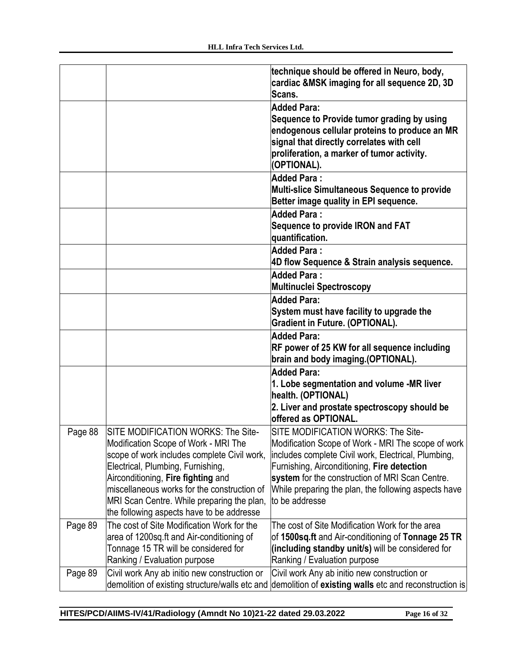|         |                                                | technique should be offered in Neuro, body,<br>cardiac &MSK imaging for all sequence 2D, 3D |
|---------|------------------------------------------------|---------------------------------------------------------------------------------------------|
|         |                                                | Scans.                                                                                      |
|         |                                                | <b>Added Para:</b>                                                                          |
|         |                                                | Sequence to Provide tumor grading by using                                                  |
|         |                                                | endogenous cellular proteins to produce an MR                                               |
|         |                                                | signal that directly correlates with cell                                                   |
|         |                                                | proliferation, a marker of tumor activity.                                                  |
|         |                                                | (OPTIONAL).                                                                                 |
|         |                                                | <b>Added Para:</b>                                                                          |
|         |                                                | Multi-slice Simultaneous Sequence to provide                                                |
|         |                                                | Better image quality in EPI sequence.                                                       |
|         |                                                | <b>Added Para:</b>                                                                          |
|         |                                                | Sequence to provide IRON and FAT                                                            |
|         |                                                | quantification.                                                                             |
|         |                                                | <b>Added Para:</b>                                                                          |
|         |                                                | 4D flow Sequence & Strain analysis sequence.                                                |
|         |                                                | <b>Added Para:</b>                                                                          |
|         |                                                | <b>Multinuclei Spectroscopy</b>                                                             |
|         |                                                | <b>Added Para:</b>                                                                          |
|         |                                                | System must have facility to upgrade the                                                    |
|         |                                                | <b>Gradient in Future. (OPTIONAL).</b>                                                      |
|         |                                                | <b>Added Para:</b>                                                                          |
|         |                                                | RF power of 25 KW for all sequence including                                                |
|         |                                                | brain and body imaging.(OPTIONAL).                                                          |
|         |                                                | <b>Added Para:</b><br>1. Lobe segmentation and volume -MR liver                             |
|         |                                                | health. (OPTIONAL)                                                                          |
|         |                                                | 2. Liver and prostate spectroscopy should be                                                |
|         |                                                | offered as OPTIONAL.                                                                        |
| Page 88 | SITE MODIFICATION WORKS: The Site-             | SITE MODIFICATION WORKS: The Site-                                                          |
|         | Modification Scope of Work - MRI The           | Modification Scope of Work - MRI The scope of work                                          |
|         | scope of work includes complete Civil work,    | includes complete Civil work, Electrical, Plumbing,                                         |
|         | Electrical, Plumbing, Furnishing,              | Furnishing, Airconditioning, Fire detection                                                 |
|         | Airconditioning, Fire fighting and             | system for the construction of MRI Scan Centre.                                             |
|         | miscellaneous works for the construction of    | While preparing the plan, the following aspects have                                        |
|         | MRI Scan Centre. While preparing the plan,     | to be addresse                                                                              |
|         | the following aspects have to be addresse      |                                                                                             |
| Page 89 | The cost of Site Modification Work for the     | The cost of Site Modification Work for the area                                             |
|         | area of 1200sq.ft and Air-conditioning of      | of 1500sq.ft and Air-conditioning of Tonnage 25 TR                                          |
|         | Tonnage 15 TR will be considered for           | (including standby unit/s) will be considered for                                           |
|         | Ranking / Evaluation purpose                   | Ranking / Evaluation purpose                                                                |
| Page 89 | Civil work Any ab initio new construction or   | Civil work Any ab initio new construction or                                                |
|         | demolition of existing structure/walls etc and | demolition of existing walls etc and reconstruction is                                      |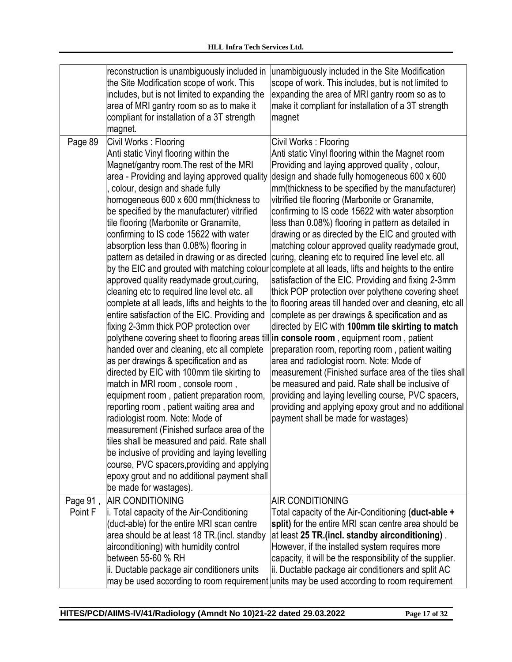|                     | reconstruction is unambiguously included in<br>the Site Modification scope of work. This<br>includes, but is not limited to expanding the<br>area of MRI gantry room so as to make it<br>compliant for installation of a 3T strength<br>magnet.                                                                                                                                                                                                                                                                                                                                                                                                                                                                                                                                                                                                                                                                                                                                                                                                                                                                                                                                                                                                                                                                                             | unambiguously included in the Site Modification<br>scope of work. This includes, but is not limited to<br>expanding the area of MRI gantry room so as to<br>make it compliant for installation of a 3T strength<br>magnet                                                                                                                                                                                                                                                                                                                                                                                                                                                                                                                                                                                                                                                                                                                                                                                                                                                                                                                                                                                                                                                                                                                                                       |
|---------------------|---------------------------------------------------------------------------------------------------------------------------------------------------------------------------------------------------------------------------------------------------------------------------------------------------------------------------------------------------------------------------------------------------------------------------------------------------------------------------------------------------------------------------------------------------------------------------------------------------------------------------------------------------------------------------------------------------------------------------------------------------------------------------------------------------------------------------------------------------------------------------------------------------------------------------------------------------------------------------------------------------------------------------------------------------------------------------------------------------------------------------------------------------------------------------------------------------------------------------------------------------------------------------------------------------------------------------------------------|---------------------------------------------------------------------------------------------------------------------------------------------------------------------------------------------------------------------------------------------------------------------------------------------------------------------------------------------------------------------------------------------------------------------------------------------------------------------------------------------------------------------------------------------------------------------------------------------------------------------------------------------------------------------------------------------------------------------------------------------------------------------------------------------------------------------------------------------------------------------------------------------------------------------------------------------------------------------------------------------------------------------------------------------------------------------------------------------------------------------------------------------------------------------------------------------------------------------------------------------------------------------------------------------------------------------------------------------------------------------------------|
| Page 89             | Civil Works: Flooring<br>Anti static Vinyl flooring within the<br>Magnet/gantry room. The rest of the MRI<br>area - Providing and laying approved quality<br>colour, design and shade fully<br>homogeneous 600 x 600 mm(thickness to<br>be specified by the manufacturer) vitrified<br>tile flooring (Marbonite or Granamite,<br>confirming to IS code 15622 with water<br>absorption less than 0.08%) flooring in<br>pattern as detailed in drawing or as directed<br>by the EIC and grouted with matching colour<br>approved quality readymade grout, curing,<br>cleaning etc to required line level etc. all<br>complete at all leads, lifts and heights to the<br>entire satisfaction of the EIC. Providing and<br>fixing 2-3mm thick POP protection over<br>handed over and cleaning, etc all complete<br>as per drawings & specification and as<br>directed by EIC with 100mm tile skirting to<br>match in MRI room, console room,<br>equipment room, patient preparation room,<br>reporting room, patient waiting area and<br>radiologist room. Note: Mode of<br>measurement (Finished surface area of the<br>tiles shall be measured and paid. Rate shall<br>be inclusive of providing and laying levelling<br>course, PVC spacers, providing and applying<br>epoxy grout and no additional payment shall<br>be made for wastages). | Civil Works: Flooring<br>Anti static Vinyl flooring within the Magnet room<br>Providing and laying approved quality, colour,<br>design and shade fully homogeneous 600 x 600<br>mm(thickness to be specified by the manufacturer)<br>vitrified tile flooring (Marbonite or Granamite,<br>confirming to IS code 15622 with water absorption<br>less than 0.08%) flooring in pattern as detailed in<br>drawing or as directed by the EIC and grouted with<br>matching colour approved quality readymade grout,<br>curing, cleaning etc to required line level etc. all<br>complete at all leads, lifts and heights to the entire<br>satisfaction of the EIC. Providing and fixing 2-3mm<br>thick POP protection over polythene covering sheet<br>to flooring areas till handed over and cleaning, etc all<br>complete as per drawings & specification and as<br>directed by EIC with 100mm tile skirting to match<br>polythene covering sheet to flooring areas till in console room, equipment room, patient<br>preparation room, reporting room, patient waiting<br>area and radiologist room. Note: Mode of<br>measurement (Finished surface area of the tiles shall<br>be measured and paid. Rate shall be inclusive of<br>providing and laying levelling course, PVC spacers,<br>providing and applying epoxy grout and no additional<br>payment shall be made for wastages) |
| Page 91,<br>Point F | <b>AIR CONDITIONING</b><br>i. Total capacity of the Air-Conditioning<br>(duct-able) for the entire MRI scan centre<br>area should be at least 18 TR. (incl. standby<br>airconditioning) with humidity control<br>between 55-60 % RH<br>ii. Ductable package air conditioners units                                                                                                                                                                                                                                                                                                                                                                                                                                                                                                                                                                                                                                                                                                                                                                                                                                                                                                                                                                                                                                                          | <b>AIR CONDITIONING</b><br>Total capacity of the Air-Conditioning (duct-able +<br>split) for the entire MRI scan centre area should be<br>at least 25 TR.(incl. standby airconditioning).<br>However, if the installed system requires more<br>capacity, it will be the responsibility of the supplier.<br>ii. Ductable package air conditioners and split AC<br>may be used according to room requirement units may be used according to room requirement                                                                                                                                                                                                                                                                                                                                                                                                                                                                                                                                                                                                                                                                                                                                                                                                                                                                                                                      |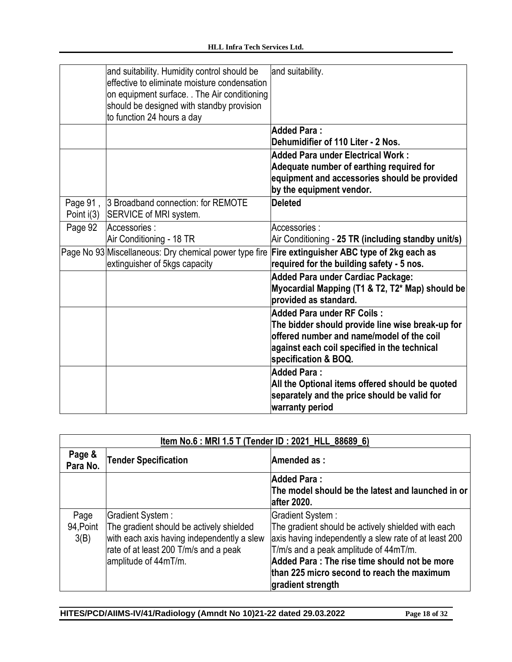|              | and suitability. Humidity control should be<br>effective to eliminate moisture condensation<br>on equipment surface. The Air conditioning<br>should be designed with standby provision<br>to function 24 hours a day | and suitability.                                                                                                                                                                                           |
|--------------|----------------------------------------------------------------------------------------------------------------------------------------------------------------------------------------------------------------------|------------------------------------------------------------------------------------------------------------------------------------------------------------------------------------------------------------|
|              |                                                                                                                                                                                                                      | <b>Added Para:</b><br>Dehumidifier of 110 Liter - 2 Nos.                                                                                                                                                   |
|              |                                                                                                                                                                                                                      | <b>Added Para under Electrical Work:</b><br>Adequate number of earthing required for<br>equipment and accessories should be provided<br>by the equipment vendor.                                           |
| Page 91,     | 3 Broadband connection: for REMOTE                                                                                                                                                                                   | <b>Deleted</b>                                                                                                                                                                                             |
| Point $i(3)$ | SERVICE of MRI system.                                                                                                                                                                                               |                                                                                                                                                                                                            |
| Page 92      | Accessories:                                                                                                                                                                                                         | Accessories:                                                                                                                                                                                               |
|              | Air Conditioning - 18 TR                                                                                                                                                                                             | Air Conditioning - 25 TR (including standby unit/s)                                                                                                                                                        |
|              | Page No 93 Miscellaneous: Dry chemical power type fire<br>extinguisher of 5kgs capacity                                                                                                                              | Fire extinguisher ABC type of 2kg each as<br>required for the building safety - 5 nos.                                                                                                                     |
|              |                                                                                                                                                                                                                      | <b>Added Para under Cardiac Package:</b><br>Myocardial Mapping (T1 & T2, T2* Map) should be<br>provided as standard.                                                                                       |
|              |                                                                                                                                                                                                                      | <b>Added Para under RF Coils:</b><br>The bidder should provide line wise break-up for<br>offered number and name/model of the coil<br>against each coil specified in the technical<br>specification & BOQ. |
|              |                                                                                                                                                                                                                      | <b>Added Para:</b><br>All the Optional items offered should be quoted<br>separately and the price should be valid for<br>warranty period                                                                   |

| Item No.6 : MRI 1.5 T (Tender ID : 2021_HLL_88689_6) |                                                                                                                                                                              |                                                                                                                                                                                                                                                                                              |
|------------------------------------------------------|------------------------------------------------------------------------------------------------------------------------------------------------------------------------------|----------------------------------------------------------------------------------------------------------------------------------------------------------------------------------------------------------------------------------------------------------------------------------------------|
| Page &<br>Para No.                                   | <b>Tender Specification</b>                                                                                                                                                  | Amended as:                                                                                                                                                                                                                                                                                  |
|                                                      |                                                                                                                                                                              | <b>Added Para:</b><br>The model should be the latest and launched in or<br><b>after 2020.</b>                                                                                                                                                                                                |
| Page<br>94, Point<br>3(B)                            | Gradient System :<br>The gradient should be actively shielded<br>with each axis having independently a slew<br>rate of at least 200 T/m/s and a peak<br>amplitude of 44mT/m. | Gradient System:<br>The gradient should be actively shielded with each<br>axis having independently a slew rate of at least 200<br>T/m/s and a peak amplitude of 44mT/m.<br>Added Para : The rise time should not be more<br>than 225 micro second to reach the maximum<br>gradient strength |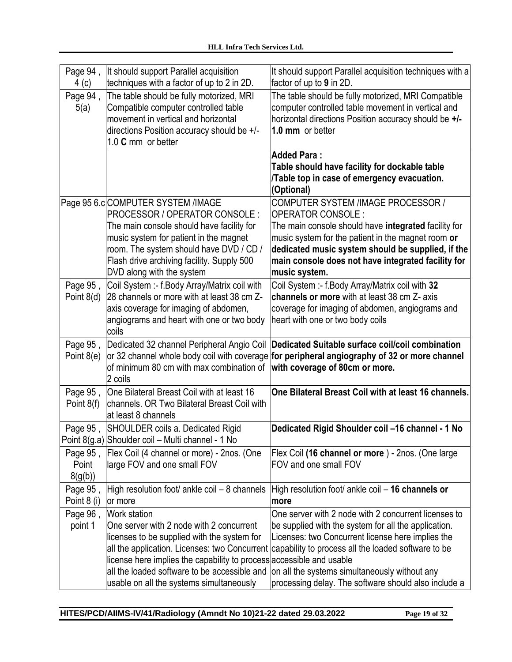| Page 94,<br>4 (c)            | It should support Parallel acquisition<br>techniques with a factor of up to 2 in 2D.                                                                                                                                                                                                                                                | It should support Parallel acquisition techniques with a<br>factor of up to 9 in 2D.                                                                                                                                                                                                                                              |
|------------------------------|-------------------------------------------------------------------------------------------------------------------------------------------------------------------------------------------------------------------------------------------------------------------------------------------------------------------------------------|-----------------------------------------------------------------------------------------------------------------------------------------------------------------------------------------------------------------------------------------------------------------------------------------------------------------------------------|
| Page 94,<br>5(a)             | The table should be fully motorized, MRI<br>Compatible computer controlled table<br>movement in vertical and horizontal<br>directions Position accuracy should be +/-<br>1.0 C mm or better                                                                                                                                         | The table should be fully motorized, MRI Compatible<br>computer controlled table movement in vertical and<br>horizontal directions Position accuracy should be +/-<br>1.0 mm or better                                                                                                                                            |
|                              |                                                                                                                                                                                                                                                                                                                                     | Added Para:<br>Table should have facility for dockable table<br>Table top in case of emergency evacuation.<br>(Optional)                                                                                                                                                                                                          |
|                              | Page 95 6.c COMPUTER SYSTEM /IMAGE<br>PROCESSOR / OPERATOR CONSOLE :<br>The main console should have facility for<br>music system for patient in the magnet<br>room. The system should have DVD / CD /<br>Flash drive archiving facility. Supply 500<br>DVD along with the system                                                   | COMPUTER SYSTEM /IMAGE PROCESSOR /<br>OPERATOR CONSOLE :<br>The main console should have integrated facility for<br>music system for the patient in the magnet room or<br>dedicated music system should be supplied, if the<br>main console does not have integrated facility for<br>music system.                                |
| Page 95,<br>Point $8(d)$     | Coil System :- f.Body Array/Matrix coil with<br>28 channels or more with at least 38 cm Z-<br>axis coverage for imaging of abdomen,<br>angiograms and heart with one or two body<br>coils                                                                                                                                           | Coil System :- f.Body Array/Matrix coil with 32<br>channels or more with at least 38 cm Z- axis<br>coverage for imaging of abdomen, angiograms and<br>heart with one or two body coils                                                                                                                                            |
| Page 95,<br>Point $8(e)$     | of minimum 80 cm with max combination of with coverage of 80cm or more.<br>2 coils                                                                                                                                                                                                                                                  | Dedicated 32 channel Peripheral Angio Coil Dedicated Suitable surface coil/coil combination<br>or 32 channel whole body coil with coverage for peripheral angiography of 32 or more channel                                                                                                                                       |
| Page 95,<br>Point 8(f)       | One Bilateral Breast Coil with at least 16<br>channels. OR Two Bilateral Breast Coil with<br>at least 8 channels                                                                                                                                                                                                                    | One Bilateral Breast Coil with at least 16 channels.                                                                                                                                                                                                                                                                              |
| Page 95,                     | SHOULDER coils a. Dedicated Rigid<br>Point 8(g.a) Shoulder coil - Multi channel - 1 No                                                                                                                                                                                                                                              | Dedicated Rigid Shoulder coil -16 channel - 1 No                                                                                                                                                                                                                                                                                  |
| Page 95,<br>Point<br>8(g(b)) | Flex Coil (4 channel or more) - 2nos. (One<br>large FOV and one small FOV                                                                                                                                                                                                                                                           | Flex Coil (16 channel or more) - 2nos. (One large<br>FOV and one small FOV                                                                                                                                                                                                                                                        |
| Page 95,<br>Point 8 (i)      | High resolution foot/ ankle coil - 8 channels<br>or more                                                                                                                                                                                                                                                                            | High resolution foot/ ankle coil – 16 channels or<br>more                                                                                                                                                                                                                                                                         |
| Page 96,<br>point 1          | <b>Work station</b><br>One server with 2 node with 2 concurrent<br>licenses to be supplied with the system for<br>all the application. Licenses: two Concurrent<br>license here implies the capability to process accessible and usable<br>all the loaded software to be accessible and<br>usable on all the systems simultaneously | One server with 2 node with 2 concurrent licenses to<br>be supplied with the system for all the application.<br>Licenses: two Concurrent license here implies the<br>capability to process all the loaded software to be<br>on all the systems simultaneously without any<br>processing delay. The software should also include a |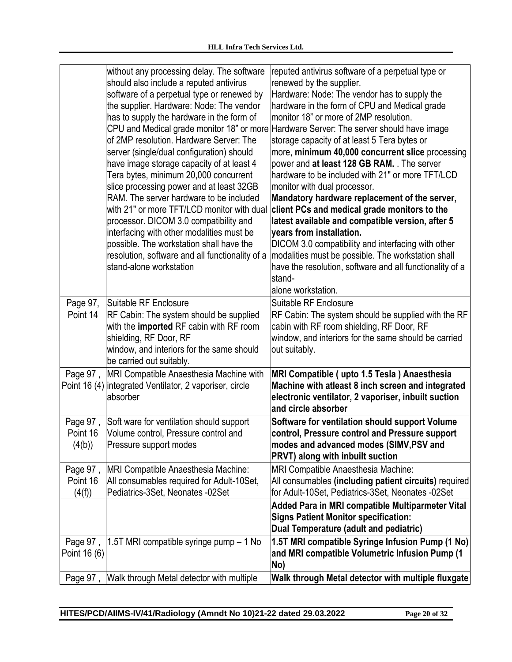|                                | without any processing delay. The software<br>should also include a reputed antivirus<br>software of a perpetual type or renewed by<br>the supplier. Hardware: Node: The vendor                                | reputed antivirus software of a perpetual type or<br>renewed by the supplier.<br>Hardware: Node: The vendor has to supply the<br>hardware in the form of CPU and Medical grade                                                        |
|--------------------------------|----------------------------------------------------------------------------------------------------------------------------------------------------------------------------------------------------------------|---------------------------------------------------------------------------------------------------------------------------------------------------------------------------------------------------------------------------------------|
|                                | has to supply the hardware in the form of<br>of 2MP resolution. Hardware Server: The<br>server (single/dual configuration) should                                                                              | monitor 18" or more of 2MP resolution.<br>CPU and Medical grade monitor 18" or more Hardware Server: The server should have image<br>storage capacity of at least 5 Tera bytes or<br>more, minimum 40,000 concurrent slice processing |
|                                | have image storage capacity of at least 4<br>Tera bytes, minimum 20,000 concurrent<br>slice processing power and at least 32GB<br>RAM. The server hardware to be included                                      | power and at least 128 GB RAM. . The server<br>hardware to be included with 21" or more TFT/LCD<br>monitor with dual processor.<br>Mandatory hardware replacement of the server,                                                      |
|                                | with 21" or more TFT/LCD monitor with dual<br>processor. DICOM 3.0 compatibility and<br>interfacing with other modalities must be<br>possible. The workstation shall have the                                  | client PCs and medical grade monitors to the<br>latest available and compatible version, after 5<br>years from installation.<br>DICOM 3.0 compatibility and interfacing with other                                                    |
|                                | resolution, software and all functionality of a<br>stand-alone workstation                                                                                                                                     | modalities must be possible. The workstation shall<br>have the resolution, software and all functionality of a<br>stand-<br>alone workstation.                                                                                        |
| Page 97,<br>Point 14           | Suitable RF Enclosure<br>RF Cabin: The system should be supplied<br>with the imported RF cabin with RF room<br>shielding, RF Door, RF<br>window, and interiors for the same should<br>be carried out suitably. | Suitable RF Enclosure<br>RF Cabin: The system should be supplied with the RF<br>cabin with RF room shielding, RF Door, RF<br>window, and interiors for the same should be carried<br>out suitably.                                    |
|                                | Page 97, MRI Compatible Anaesthesia Machine with<br>Point 16 (4) integrated Ventilator, 2 vaporiser, circle<br>labsorber                                                                                       | MRI Compatible (upto 1.5 Tesla) Anaesthesia<br>Machine with atleast 8 inch screen and integrated<br>electronic ventilator, 2 vaporiser, inbuilt suction<br>and circle absorber                                                        |
| Page 97,<br>Point 16<br>(4(b)) | Soft ware for ventilation should support<br>Volume control, Pressure control and<br>Pressure support modes                                                                                                     | Software for ventilation should support Volume<br>control, Pressure control and Pressure support<br>modes and advanced modes (SIMV,PSV and<br><b>PRVT) along with inbuilt suction</b>                                                 |
| Page 97,<br>Point 16<br>(4(f)) | <b>MRI Compatible Anaesthesia Machine:</b><br>All consumables required for Adult-10Set,<br>Pediatrics-3Set, Neonates -02Set                                                                                    | MRI Compatible Anaesthesia Machine:<br>All consumables (including patient circuits) required<br>for Adult-10Set, Pediatrics-3Set, Neonates -02Set                                                                                     |
|                                |                                                                                                                                                                                                                | Added Para in MRI compatible Multiparmeter Vital<br><b>Signs Patient Monitor specification:</b><br>Dual Temperature (adult and pediatric)                                                                                             |
| Page 97,<br>Point 16 (6)       | 1.5T MRI compatible syringe pump - 1 No                                                                                                                                                                        | 1.5T MRI compatible Syringe Infusion Pump (1 No)<br>and MRI compatible Volumetric Infusion Pump (1<br>No)                                                                                                                             |
|                                | Page 97, Walk through Metal detector with multiple                                                                                                                                                             | Walk through Metal detector with multiple fluxgate                                                                                                                                                                                    |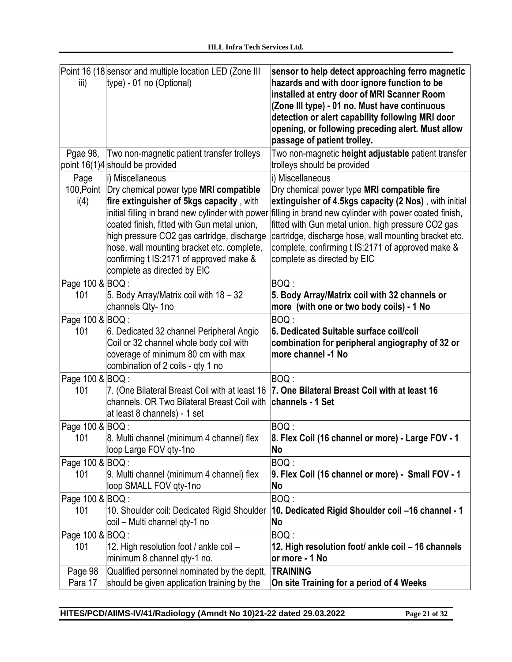| iii)                       | Point 16 (18 sensor and multiple location LED (Zone III<br>type) - 01 no (Optional)                                                                                                                                                                                                                                                                                             | sensor to help detect approaching ferro magnetic<br>hazards and with door ignore function to be<br>installed at entry door of MRI Scanner Room<br>(Zone III type) - 01 no. Must have continuous<br>detection or alert capability following MRI door<br>opening, or following preceding alert. Must allow<br>passage of patient trolley.                                                |
|----------------------------|---------------------------------------------------------------------------------------------------------------------------------------------------------------------------------------------------------------------------------------------------------------------------------------------------------------------------------------------------------------------------------|----------------------------------------------------------------------------------------------------------------------------------------------------------------------------------------------------------------------------------------------------------------------------------------------------------------------------------------------------------------------------------------|
| Pgae 98,                   | Two non-magnetic patient transfer trolleys<br>point 16(1)4 should be provided                                                                                                                                                                                                                                                                                                   | Two non-magnetic height adjustable patient transfer<br>trolleys should be provided                                                                                                                                                                                                                                                                                                     |
| Page<br>100, Point<br>i(4) | i) Miscellaneous<br>Dry chemical power type MRI compatible<br>fire extinguisher of 5kgs capacity, with<br>initial filling in brand new cylinder with power<br>coated finish, fitted with Gun metal union,<br>high pressure CO2 gas cartridge, discharge<br>hose, wall mounting bracket etc. complete,<br>confirming t IS:2171 of approved make &<br>complete as directed by EIC | i) Miscellaneous<br>Dry chemical power type MRI compatible fire<br>extinguisher of 4.5kgs capacity (2 Nos), with initial<br>filling in brand new cylinder with power coated finish,<br>fitted with Gun metal union, high pressure CO2 gas<br>cartridge, discharge hose, wall mounting bracket etc.<br>complete, confirming t IS:2171 of approved make &<br>complete as directed by EIC |
| Page 100 & BOQ :<br>101    | 5. Body Array/Matrix coil with 18 - 32<br>channels Qty-1no                                                                                                                                                                                                                                                                                                                      | BOQ:<br>5. Body Array/Matrix coil with 32 channels or<br>more (with one or two body coils) - 1 No                                                                                                                                                                                                                                                                                      |
| Page 100 & BOQ :<br>101    | 6. Dedicated 32 channel Peripheral Angio<br>Coil or 32 channel whole body coil with<br>coverage of minimum 80 cm with max<br>combination of 2 coils - qty 1 no                                                                                                                                                                                                                  | BOQ:<br>6. Dedicated Suitable surface coil/coil<br>combination for peripheral angiography of 32 or<br>more channel -1 No                                                                                                                                                                                                                                                               |
| Page 100 & BOQ :<br>101    | 7. (One Bilateral Breast Coil with at least 16<br>channels. OR Two Bilateral Breast Coil with<br>at least 8 channels) - 1 set                                                                                                                                                                                                                                                   | BOQ:<br>7. One Bilateral Breast Coil with at least 16<br>channels - 1 Set                                                                                                                                                                                                                                                                                                              |
| Page 100 & BOQ :<br>101    | 8. Multi channel (minimum 4 channel) flex<br>loop Large FOV gty-1no                                                                                                                                                                                                                                                                                                             | BOQ :<br>8. Flex Coil (16 channel or more) - Large FOV - 1<br>No                                                                                                                                                                                                                                                                                                                       |
| Page 100 & BOQ :<br>101    | 9. Multi channel (minimum 4 channel) flex<br>loop SMALL FOV qty-1no                                                                                                                                                                                                                                                                                                             | BOQ:<br>9. Flex Coil (16 channel or more) - Small FOV - 1<br>No                                                                                                                                                                                                                                                                                                                        |
| Page 100 & BOQ :<br>101    | 10. Shoulder coil: Dedicated Rigid Shoulder<br>coil - Multi channel qty-1 no                                                                                                                                                                                                                                                                                                    | BOQ:<br>10. Dedicated Rigid Shoulder coil -16 channel - 1<br>No                                                                                                                                                                                                                                                                                                                        |
| Page 100 & BOQ :<br>101    | 12. High resolution foot / ankle coil -<br>minimum 8 channel qty-1 no.                                                                                                                                                                                                                                                                                                          | BOQ:<br>12. High resolution foot/ ankle coil - 16 channels<br>or more - 1 No                                                                                                                                                                                                                                                                                                           |
| Page 98<br>Para 17         | Qualified personnel nominated by the deptt,<br>should be given application training by the                                                                                                                                                                                                                                                                                      | <b>TRAINING</b><br>On site Training for a period of 4 Weeks                                                                                                                                                                                                                                                                                                                            |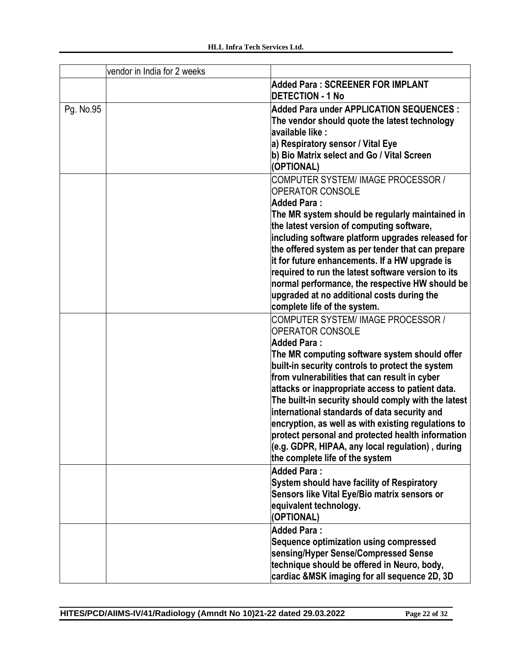|           | vendor in India for 2 weeks |                                                                                                     |
|-----------|-----------------------------|-----------------------------------------------------------------------------------------------------|
|           |                             | <b>Added Para: SCREENER FOR IMPLANT</b><br><b>DETECTION - 1 No</b>                                  |
| Pg. No.95 |                             | Added Para under APPLICATION SEQUENCES :                                                            |
|           |                             | The vendor should quote the latest technology                                                       |
|           |                             | available like :                                                                                    |
|           |                             | a) Respiratory sensor / Vital Eye                                                                   |
|           |                             | b) Bio Matrix select and Go / Vital Screen<br>(OPTIONAL)                                            |
|           |                             | COMPUTER SYSTEM/ IMAGE PROCESSOR /                                                                  |
|           |                             | <b>OPERATOR CONSOLE</b>                                                                             |
|           |                             | <b>Added Para:</b>                                                                                  |
|           |                             | The MR system should be regularly maintained in                                                     |
|           |                             | the latest version of computing software,                                                           |
|           |                             | including software platform upgrades released for                                                   |
|           |                             | the offered system as per tender that can prepare<br>it for future enhancements. If a HW upgrade is |
|           |                             | required to run the latest software version to its                                                  |
|           |                             | normal performance, the respective HW should be                                                     |
|           |                             | upgraded at no additional costs during the                                                          |
|           |                             | complete life of the system.                                                                        |
|           |                             | COMPUTER SYSTEM/ IMAGE PROCESSOR /                                                                  |
|           |                             | <b>OPERATOR CONSOLE</b>                                                                             |
|           |                             | <b>Added Para:</b>                                                                                  |
|           |                             | The MR computing software system should offer                                                       |
|           |                             | built-in security controls to protect the system                                                    |
|           |                             | from vulnerabilities that can result in cyber                                                       |
|           |                             | attacks or inappropriate access to patient data.                                                    |
|           |                             | The built-in security should comply with the latest                                                 |
|           |                             | international standards of data security and                                                        |
|           |                             | encryption, as well as with existing regulations to                                                 |
|           |                             | protect personal and protected health information                                                   |
|           |                             | (e.g. GDPR, HIPAA, any local regulation), during                                                    |
|           |                             | the complete life of the system                                                                     |
|           |                             | <b>Added Para:</b>                                                                                  |
|           |                             | <b>System should have facility of Respiratory</b>                                                   |
|           |                             | Sensors like Vital Eye/Bio matrix sensors or                                                        |
|           |                             | equivalent technology.<br>(OPTIONAL)                                                                |
|           |                             | <b>Added Para:</b>                                                                                  |
|           |                             | Sequence optimization using compressed                                                              |
|           |                             | sensing/Hyper Sense/Compressed Sense                                                                |
|           |                             | technique should be offered in Neuro, body,                                                         |
|           |                             | cardiac &MSK imaging for all sequence 2D, 3D                                                        |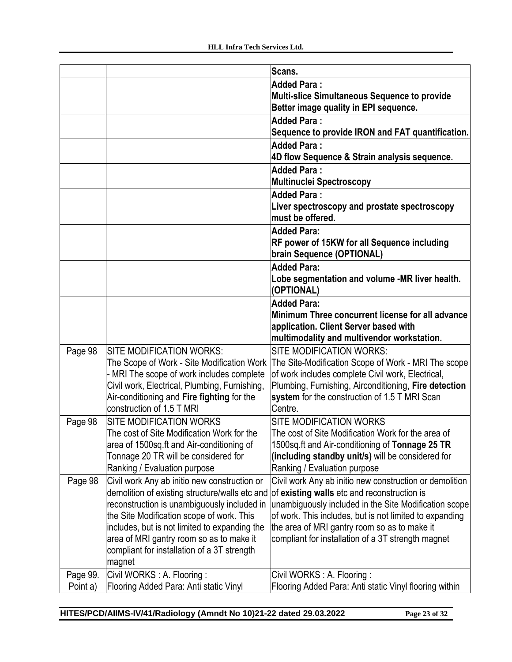|          |                                                                                             | Scans.                                                   |
|----------|---------------------------------------------------------------------------------------------|----------------------------------------------------------|
|          |                                                                                             | <b>Added Para:</b>                                       |
|          |                                                                                             | Multi-slice Simultaneous Sequence to provide             |
|          |                                                                                             | Better image quality in EPI sequence.                    |
|          |                                                                                             | <b>Added Para:</b>                                       |
|          |                                                                                             | Sequence to provide IRON and FAT quantification.         |
|          |                                                                                             | <b>Added Para:</b>                                       |
|          |                                                                                             | 4D flow Sequence & Strain analysis sequence.             |
|          |                                                                                             | Added Para:                                              |
|          |                                                                                             | Multinuclei Spectroscopy                                 |
|          |                                                                                             | Added Para:                                              |
|          |                                                                                             | Liver spectroscopy and prostate spectroscopy             |
|          |                                                                                             | must be offered.                                         |
|          |                                                                                             | <b>Added Para:</b>                                       |
|          |                                                                                             | RF power of 15KW for all Sequence including              |
|          |                                                                                             | brain Sequence (OPTIONAL)                                |
|          |                                                                                             | <b>Added Para:</b>                                       |
|          |                                                                                             | Lobe segmentation and volume -MR liver health.           |
|          |                                                                                             | (OPTIONAL)                                               |
|          |                                                                                             | <b>Added Para:</b>                                       |
|          |                                                                                             | Minimum Three concurrent license for all advance         |
|          |                                                                                             | application. Client Server based with                    |
|          |                                                                                             | multimodality and multivendor workstation.               |
| Page 98  | SITE MODIFICATION WORKS:                                                                    | <b>SITE MODIFICATION WORKS:</b>                          |
|          | The Scope of Work - Site Modification Work                                                  | The Site-Modification Scope of Work - MRI The scope      |
|          | - MRI The scope of work includes complete                                                   | of work includes complete Civil work, Electrical,        |
|          | Civil work, Electrical, Plumbing, Furnishing,<br>Air-conditioning and Fire fighting for the | Plumbing, Furnishing, Airconditioning, Fire detection    |
|          | construction of 1.5 T MRI                                                                   | system for the construction of 1.5 T MRI Scan<br>Centre. |
|          | <b>SITE MODIFICATION WORKS</b>                                                              | <b>SITE MODIFICATION WORKS</b>                           |
| Page 98  | The cost of Site Modification Work for the                                                  | The cost of Site Modification Work for the area of       |
|          | area of 1500sq.ft and Air-conditioning of                                                   | 1500sq.ft and Air-conditioning of Tonnage 25 TR          |
|          | Tonnage 20 TR will be considered for                                                        | (including standby unit/s) will be considered for        |
|          | Ranking / Evaluation purpose                                                                | Ranking / Evaluation purpose                             |
| Page 98  | Civil work Any ab initio new construction or                                                | Civil work Any ab initio new construction or demolition  |
|          | demolition of existing structure/walls etc and                                              | of existing walls etc and reconstruction is              |
|          | reconstruction is unambiguously included in                                                 | unambiguously included in the Site Modification scope    |
|          | the Site Modification scope of work. This                                                   | of work. This includes, but is not limited to expanding  |
|          | includes, but is not limited to expanding the                                               | the area of MRI gantry room so as to make it             |
|          | area of MRI gantry room so as to make it                                                    | compliant for installation of a 3T strength magnet       |
|          | compliant for installation of a 3T strength                                                 |                                                          |
|          | magnet                                                                                      |                                                          |
| Page 99. | Civil WORKS: A. Flooring:                                                                   | Civil WORKS: A. Flooring:                                |
| Point a) | Flooring Added Para: Anti static Vinyl                                                      | Flooring Added Para: Anti static Vinyl flooring within   |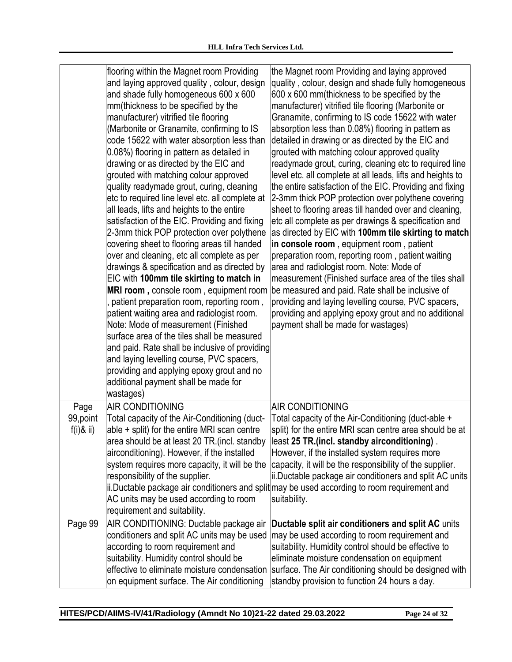|                           | flooring within the Magnet room Providing<br>and laying approved quality, colour, design<br>and shade fully homogeneous 600 x 600<br>mm(thickness to be specified by the<br>manufacturer) vitrified tile flooring<br>Marbonite or Granamite, confirming to IS<br>code 15622 with water absorption less than<br>0.08%) flooring in pattern as detailed in<br>drawing or as directed by the EIC and<br>grouted with matching colour approved<br>quality readymade grout, curing, cleaning<br>etc to required line level etc. all complete at<br>all leads, lifts and heights to the entire<br>satisfaction of the EIC. Providing and fixing<br>2-3mm thick POP protection over polythene<br>covering sheet to flooring areas till handed<br>over and cleaning, etc all complete as per<br>drawings & specification and as directed by<br>EIC with 100mm tile skirting to match in<br>MRI room, console room, equipment room<br>patient preparation room, reporting room,<br>patient waiting area and radiologist room.<br>Note: Mode of measurement (Finished<br>surface area of the tiles shall be measured<br>and paid. Rate shall be inclusive of providing<br>and laying levelling course, PVC spacers,<br>providing and applying epoxy grout and no<br>additional payment shall be made for | the Magnet room Providing and laying approved<br>quality, colour, design and shade fully homogeneous<br>600 x 600 mm(thickness to be specified by the<br>manufacturer) vitrified tile flooring (Marbonite or<br>Granamite, confirming to IS code 15622 with water<br>absorption less than 0.08%) flooring in pattern as<br>detailed in drawing or as directed by the EIC and<br>grouted with matching colour approved quality<br>readymade grout, curing, cleaning etc to required line<br>level etc. all complete at all leads, lifts and heights to<br>the entire satisfaction of the EIC. Providing and fixing<br>2-3mm thick POP protection over polythene covering<br>sheet to flooring areas till handed over and cleaning,<br>etc all complete as per drawings & specification and<br>as directed by EIC with 100mm tile skirting to match<br>in console room, equipment room, patient<br>preparation room, reporting room, patient waiting<br>area and radiologist room. Note: Mode of<br>measurement (Finished surface area of the tiles shall<br>be measured and paid. Rate shall be inclusive of<br>providing and laying levelling course, PVC spacers,<br>providing and applying epoxy grout and no additional<br>payment shall be made for wastages) |
|---------------------------|------------------------------------------------------------------------------------------------------------------------------------------------------------------------------------------------------------------------------------------------------------------------------------------------------------------------------------------------------------------------------------------------------------------------------------------------------------------------------------------------------------------------------------------------------------------------------------------------------------------------------------------------------------------------------------------------------------------------------------------------------------------------------------------------------------------------------------------------------------------------------------------------------------------------------------------------------------------------------------------------------------------------------------------------------------------------------------------------------------------------------------------------------------------------------------------------------------------------------------------------------------------------------------------------|-------------------------------------------------------------------------------------------------------------------------------------------------------------------------------------------------------------------------------------------------------------------------------------------------------------------------------------------------------------------------------------------------------------------------------------------------------------------------------------------------------------------------------------------------------------------------------------------------------------------------------------------------------------------------------------------------------------------------------------------------------------------------------------------------------------------------------------------------------------------------------------------------------------------------------------------------------------------------------------------------------------------------------------------------------------------------------------------------------------------------------------------------------------------------------------------------------------------------------------------------------------------|
| Page                      | wastages)<br><b>AIR CONDITIONING</b><br>Total capacity of the Air-Conditioning (duct-                                                                                                                                                                                                                                                                                                                                                                                                                                                                                                                                                                                                                                                                                                                                                                                                                                                                                                                                                                                                                                                                                                                                                                                                          | AIR CONDITIONING<br>Total capacity of the Air-Conditioning (duct-able +                                                                                                                                                                                                                                                                                                                                                                                                                                                                                                                                                                                                                                                                                                                                                                                                                                                                                                                                                                                                                                                                                                                                                                                           |
| 99, point<br>$f(i)$ & ii) | able + split) for the entire MRI scan centre<br>area should be at least 20 TR.(incl. standby<br>airconditioning). However, if the installed<br>system requires more capacity, it will be the<br>responsibility of the supplier.<br>AC units may be used according to room<br>requirement and suitability.                                                                                                                                                                                                                                                                                                                                                                                                                                                                                                                                                                                                                                                                                                                                                                                                                                                                                                                                                                                      | split) for the entire MRI scan centre area should be at<br>lleast 25 TR.(incl. standby airconditioning).<br>However, if the installed system requires more<br>capacity, it will be the responsibility of the supplier.<br>ii. Ductable package air conditioners and split AC units<br>ii.Ductable package air conditioners and split may be used according to room requirement and<br>suitability.                                                                                                                                                                                                                                                                                                                                                                                                                                                                                                                                                                                                                                                                                                                                                                                                                                                                |
| Page 99                   | AIR CONDITIONING: Ductable package air<br>conditioners and split AC units may be used<br>according to room requirement and<br>suitability. Humidity control should be<br>effective to eliminate moisture condensation<br>on equipment surface. The Air conditioning                                                                                                                                                                                                                                                                                                                                                                                                                                                                                                                                                                                                                                                                                                                                                                                                                                                                                                                                                                                                                            | Ductable split air conditioners and split AC units<br>may be used according to room requirement and<br>suitability. Humidity control should be effective to<br>eliminate moisture condensation on equipment<br>surface. The Air conditioning should be designed with<br>standby provision to function 24 hours a day.                                                                                                                                                                                                                                                                                                                                                                                                                                                                                                                                                                                                                                                                                                                                                                                                                                                                                                                                             |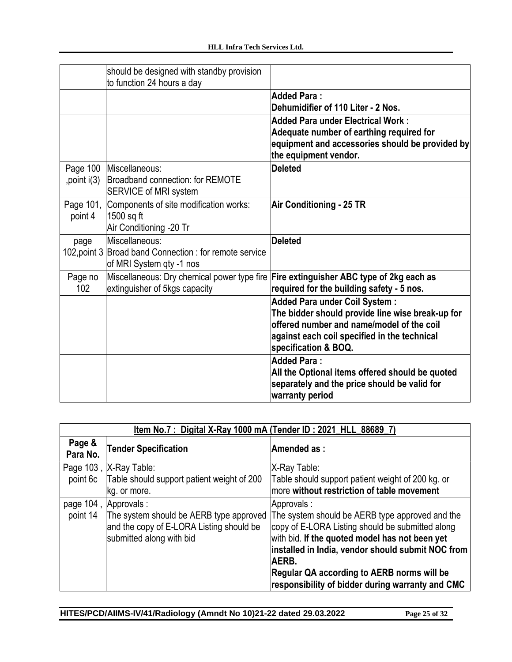|                          | should be designed with standby provision<br>to function 24 hours a day                              |                                                                                                                                                                                                               |
|--------------------------|------------------------------------------------------------------------------------------------------|---------------------------------------------------------------------------------------------------------------------------------------------------------------------------------------------------------------|
|                          |                                                                                                      | <b>Added Para:</b><br>Dehumidifier of 110 Liter - 2 Nos.                                                                                                                                                      |
|                          |                                                                                                      | <b>Added Para under Electrical Work:</b><br>Adequate number of earthing required for<br>equipment and accessories should be provided by<br>the equipment vendor.                                              |
| Page 100<br>, point i(3) | Miscellaneous:<br>Broadband connection: for REMOTE<br><b>SERVICE of MRI system</b>                   | <b>Deleted</b>                                                                                                                                                                                                |
| Page 101,<br>point 4     | Components of site modification works:<br>1500 sq ft<br>Air Conditioning -20 Tr                      | Air Conditioning - 25 TR                                                                                                                                                                                      |
| page                     | Miscellaneous:<br>102, point 3 Broad band Connection: for remote service<br>of MRI System qty -1 nos | <b>Deleted</b>                                                                                                                                                                                                |
| Page no<br>102           | Miscellaneous: Dry chemical power type fire<br>extinguisher of 5kgs capacity                         | Fire extinguisher ABC type of 2kg each as<br>required for the building safety - 5 nos.                                                                                                                        |
|                          |                                                                                                      | <b>Added Para under Coil System:</b><br>The bidder should provide line wise break-up for<br>offered number and name/model of the coil<br>against each coil specified in the technical<br>specification & BOQ. |
|                          |                                                                                                      | Added Para:<br>All the Optional items offered should be quoted<br>separately and the price should be valid for<br>warranty period                                                                             |

|                    | Item No.7: Digital X-Ray 1000 mA (Tender ID: 2021_HLL_88689_7)                                                                                    |                                                                                                                                                                                                                                                                                                                                     |
|--------------------|---------------------------------------------------------------------------------------------------------------------------------------------------|-------------------------------------------------------------------------------------------------------------------------------------------------------------------------------------------------------------------------------------------------------------------------------------------------------------------------------------|
| Page &<br>Para No. | <b>Tender Specification</b>                                                                                                                       | Amended as:                                                                                                                                                                                                                                                                                                                         |
|                    | Page 103, X-Ray Table:<br>point 6c   Table should support patient weight of 200<br>kg. or more.                                                   | X-Ray Table:<br>Table should support patient weight of 200 kg. or<br>more without restriction of table movement                                                                                                                                                                                                                     |
|                    | page 104, Approvals :<br>point 14 The system should be AERB type approved<br>and the copy of E-LORA Listing should be<br>submitted along with bid | Approvals:<br>The system should be AERB type approved and the<br>copy of E-LORA Listing should be submitted along<br>with bid. If the quoted model has not been yet<br>installed in India, vendor should submit NOC from<br>AERB.<br>Regular QA according to AERB norms will be<br>responsibility of bidder during warranty and CMC |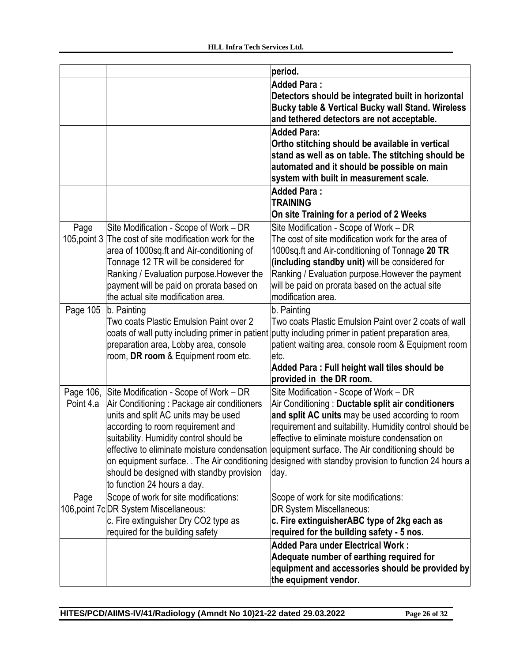|              |                                                 | period.                                                 |
|--------------|-------------------------------------------------|---------------------------------------------------------|
|              |                                                 | <b>Added Para:</b>                                      |
|              |                                                 | Detectors should be integrated built in horizontal      |
|              |                                                 | Bucky table & Vertical Bucky wall Stand. Wireless       |
|              |                                                 | and tethered detectors are not acceptable.              |
|              |                                                 | <b>Added Para:</b>                                      |
|              |                                                 | Ortho stitching should be available in vertical         |
|              |                                                 | stand as well as on table. The stitching should be      |
|              |                                                 | automated and it should be possible on main             |
|              |                                                 | system with built in measurement scale.                 |
|              |                                                 |                                                         |
|              |                                                 | <b>Added Para:</b>                                      |
|              |                                                 | <b>TRAINING</b>                                         |
|              |                                                 | On site Training for a period of 2 Weeks                |
| Page         | Site Modification - Scope of Work – DR          | Site Modification - Scope of Work - DR                  |
| 105, point 3 | The cost of site modification work for the      | The cost of site modification work for the area of      |
|              | area of 1000sq.ft and Air-conditioning of       | 1000sq.ft and Air-conditioning of Tonnage 20 TR         |
|              | Tonnage 12 TR will be considered for            | (including standby unit) will be considered for         |
|              | Ranking / Evaluation purpose. However the       | Ranking / Evaluation purpose. However the payment       |
|              | payment will be paid on prorata based on        | will be paid on prorata based on the actual site        |
|              | the actual site modification area.              | modification area.                                      |
|              |                                                 |                                                         |
| Page 105     | b. Painting                                     | b. Painting                                             |
|              | Two coats Plastic Emulsion Paint over 2         | Two coats Plastic Emulsion Paint over 2 coats of wall   |
|              | coats of wall putty including primer in patient | putty including primer in patient preparation area,     |
|              | preparation area, Lobby area, console           | patient waiting area, console room & Equipment room     |
|              | room, DR room & Equipment room etc.             | letc.                                                   |
|              |                                                 | Added Para: Full height wall tiles should be            |
|              |                                                 | provided in the DR room.                                |
| Page 106,    | Site Modification - Scope of Work – DR          | Site Modification - Scope of Work - DR                  |
| Point 4.a    | Air Conditioning: Package air conditioners      | Air Conditioning: Ductable split air conditioners       |
|              | units and split AC units may be used            | and split AC units may be used according to room        |
|              | according to room requirement and               | requirement and suitability. Humidity control should be |
|              | suitability. Humidity control should be         | effective to eliminate moisture condensation on         |
|              | effective to eliminate moisture condensation    |                                                         |
|              |                                                 | equipment surface. The Air conditioning should be       |
|              | on equipment surface. . The Air conditioning    | designed with standby provision to function 24 hours a  |
|              | should be designed with standby provision       | day.                                                    |
|              | to function 24 hours a day.                     |                                                         |
| Page         | Scope of work for site modifications:           | Scope of work for site modifications:                   |
|              | 106, point 7c DR System Miscellaneous:          | DR System Miscellaneous:                                |
|              | c. Fire extinguisher Dry CO2 type as            | c. Fire extinguisherABC type of 2kg each as             |
|              | required for the building safety                | required for the building safety - 5 nos.               |
|              |                                                 | Added Para under Electrical Work:                       |
|              |                                                 | Adequate number of earthing required for                |
|              |                                                 | equipment and accessories should be provided by         |
|              |                                                 | the equipment vendor.                                   |
|              |                                                 |                                                         |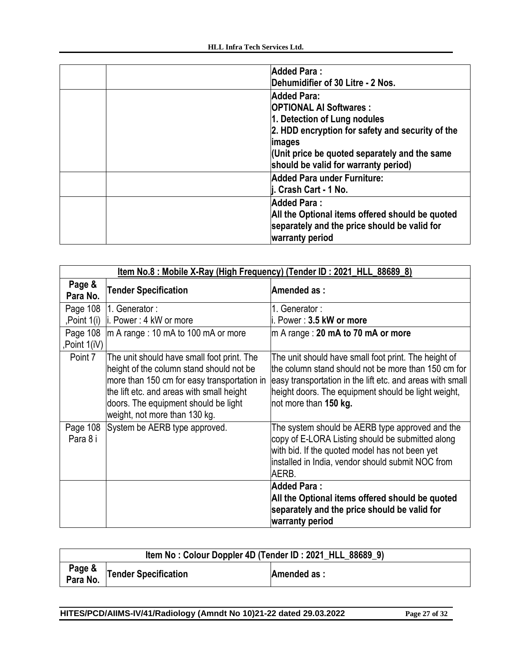| <b>Added Para:</b><br>Dehumidifier of 30 Litre - 2 Nos.                                                                                                                                                                                   |
|-------------------------------------------------------------------------------------------------------------------------------------------------------------------------------------------------------------------------------------------|
| Added Para:<br><b>OPTIONAL AI Softwares:</b><br>1. Detection of Lung nodules<br>2. HDD encryption for safety and security of the<br><i>images</i><br>Unit price be quoted separately and the same<br>should be valid for warranty period) |
| Added Para under Furniture:<br>∣i. Crash Cart - 1 No.                                                                                                                                                                                     |
| <b>Added Para:</b><br>All the Optional items offered should be quoted<br>separately and the price should be valid for<br>warranty period                                                                                                  |

|                         | Item No.8 : Mobile X-Ray (High Frequency) (Tender ID : 2021 HLL 88689 8)                                                                                                                                                                                    |                                                                                                                                                                                                                                                          |  |
|-------------------------|-------------------------------------------------------------------------------------------------------------------------------------------------------------------------------------------------------------------------------------------------------------|----------------------------------------------------------------------------------------------------------------------------------------------------------------------------------------------------------------------------------------------------------|--|
| Page &<br>Para No.      | <b>Tender Specification</b>                                                                                                                                                                                                                                 | Amended as:                                                                                                                                                                                                                                              |  |
| Page 108                | 1. Generator:                                                                                                                                                                                                                                               | 1. Generator :                                                                                                                                                                                                                                           |  |
| ,Point 1(i)             | li. Power: 4 kW or more                                                                                                                                                                                                                                     | li. Power : <b>3.5 kW or more</b>                                                                                                                                                                                                                        |  |
| Page 108<br>Point 1(iV) | $\text{Im A range}: 10 \text{ mA}$ to 100 mA or more                                                                                                                                                                                                        | $ m A$ range : 20 mA to 70 mA or more                                                                                                                                                                                                                    |  |
| Point 7                 | The unit should have small foot print. The<br>height of the column stand should not be<br>more than 150 cm for easy transportation in<br>the lift etc. and areas with small height<br>doors. The equipment should be light<br>weight, not more than 130 kg. | The unit should have small foot print. The height of<br>the column stand should not be more than 150 cm for<br>easy transportation in the lift etc. and areas with small<br>height doors. The equipment should be light weight,<br>not more than 150 kg. |  |
| Page 108<br>Para 8 i    | System be AERB type approved.                                                                                                                                                                                                                               | The system should be AERB type approved and the<br>copy of E-LORA Listing should be submitted along<br>with bid. If the quoted model has not been yet<br>installed in India, vendor should submit NOC from<br>AERB.                                      |  |
|                         |                                                                                                                                                                                                                                                             | <b>Added Para:</b><br>All the Optional items offered should be quoted<br>separately and the price should be valid for<br>warranty period                                                                                                                 |  |

| Item No: Colour Doppler 4D (Tender ID: 2021_HLL_88689_9) |                             |             |
|----------------------------------------------------------|-----------------------------|-------------|
| Page &<br>Para No.                                       | <b>Tender Specification</b> | Amended as: |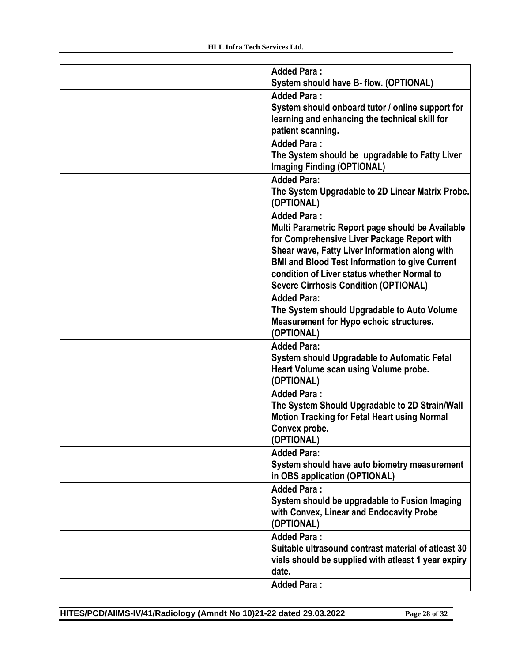|  | <b>Added Para:</b>                                             |
|--|----------------------------------------------------------------|
|  | System should have B- flow. (OPTIONAL)                         |
|  | <b>Added Para:</b>                                             |
|  | System should onboard tutor / online support for               |
|  | learning and enhancing the technical skill for                 |
|  | patient scanning.                                              |
|  | Added Para:                                                    |
|  | The System should be upgradable to Fatty Liver                 |
|  | <b>Imaging Finding (OPTIONAL)</b>                              |
|  | <b>Added Para:</b>                                             |
|  | The System Upgradable to 2D Linear Matrix Probe.<br>(OPTIONAL) |
|  | <b>Added Para:</b>                                             |
|  | Multi Parametric Report page should be Available               |
|  | for Comprehensive Liver Package Report with                    |
|  | Shear wave, Fatty Liver Information along with                 |
|  | <b>BMI and Blood Test Information to give Current</b>          |
|  | condition of Liver status whether Normal to                    |
|  | <b>Severe Cirrhosis Condition (OPTIONAL)</b>                   |
|  | <b>Added Para:</b>                                             |
|  | The System should Upgradable to Auto Volume                    |
|  | <b>Measurement for Hypo echoic structures.</b><br>(OPTIONAL)   |
|  | <b>Added Para:</b>                                             |
|  | System should Upgradable to Automatic Fetal                    |
|  | Heart Volume scan using Volume probe.                          |
|  | (OPTIONAL)                                                     |
|  | Added Para:                                                    |
|  | The System Should Upgradable to 2D Strain/Wall                 |
|  | <b>Motion Tracking for Fetal Heart using Normal</b>            |
|  | Convex probe.<br>(OPTIONAL)                                    |
|  | Added Para:                                                    |
|  | System should have auto biometry measurement                   |
|  | in OBS application (OPTIONAL)                                  |
|  | <b>Added Para:</b>                                             |
|  | System should be upgradable to Fusion Imaging                  |
|  | with Convex, Linear and Endocavity Probe                       |
|  | (OPTIONAL)                                                     |
|  | <b>Added Para:</b>                                             |
|  | Suitable ultrasound contrast material of atleast 30            |
|  | vials should be supplied with atleast 1 year expiry            |
|  | date.                                                          |
|  | <b>Added Para:</b>                                             |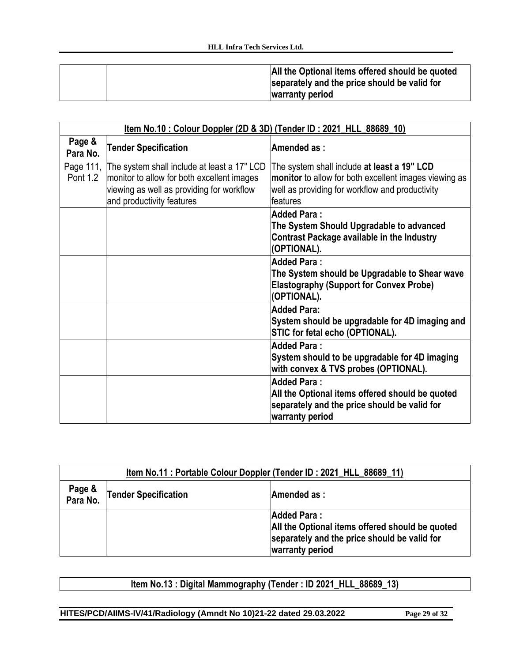|  | All the Optional items offered should be quoted<br>separately and the price should be valid for<br>warranty period |
|--|--------------------------------------------------------------------------------------------------------------------|
|--|--------------------------------------------------------------------------------------------------------------------|

| Item No.10: Colour Doppler (2D & 3D) (Tender ID: 2021_HLL_88689_10) |                                                                                                                                                                               |                                                                                                                                                                     |
|---------------------------------------------------------------------|-------------------------------------------------------------------------------------------------------------------------------------------------------------------------------|---------------------------------------------------------------------------------------------------------------------------------------------------------------------|
| Page &<br>Para No.                                                  | <b>Tender Specification</b>                                                                                                                                                   | Amended as:                                                                                                                                                         |
| Pont 1.2                                                            | Page 111, The system shall include at least a 17" LCD<br>monitor to allow for both excellent images<br>viewing as well as providing for workflow<br>and productivity features | The system shall include at least a 19" LCD<br>monitor to allow for both excellent images viewing as<br>well as providing for workflow and productivity<br>features |
|                                                                     |                                                                                                                                                                               | <b>Added Para:</b><br>The System Should Upgradable to advanced<br><b>Contrast Package available in the Industry</b><br>(OPTIONAL).                                  |
|                                                                     |                                                                                                                                                                               | <b>Added Para:</b><br>The System should be Upgradable to Shear wave<br><b>Elastography (Support for Convex Probe)</b><br>(OPTIONAL).                                |
|                                                                     |                                                                                                                                                                               | <b>Added Para:</b><br>System should be upgradable for 4D imaging and<br>STIC for fetal echo (OPTIONAL).                                                             |
|                                                                     |                                                                                                                                                                               | <b>Added Para:</b><br>System should to be upgradable for 4D imaging<br>with convex & TVS probes (OPTIONAL).                                                         |
|                                                                     |                                                                                                                                                                               | <b>Added Para:</b><br>All the Optional items offered should be quoted<br>separately and the price should be valid for<br>warranty period                            |

| Item No.11 : Portable Colour Doppler (Tender ID : 2021_HLL_88689_11) |                             |                                                                                                                                          |
|----------------------------------------------------------------------|-----------------------------|------------------------------------------------------------------------------------------------------------------------------------------|
| Page &<br>Para No.                                                   | <b>Tender Specification</b> | Amended as:                                                                                                                              |
|                                                                      |                             | <b>Added Para:</b><br>All the Optional items offered should be quoted<br>separately and the price should be valid for<br>warranty period |

# **Item No.13 : Digital Mammography (Tender : ID 2021\_HLL\_88689\_13)**

**HITES/PCD/AIIMS-IV/41/Radiology (Amndt No 10)21-22 dated 29.03.2022 Page 29 of 32**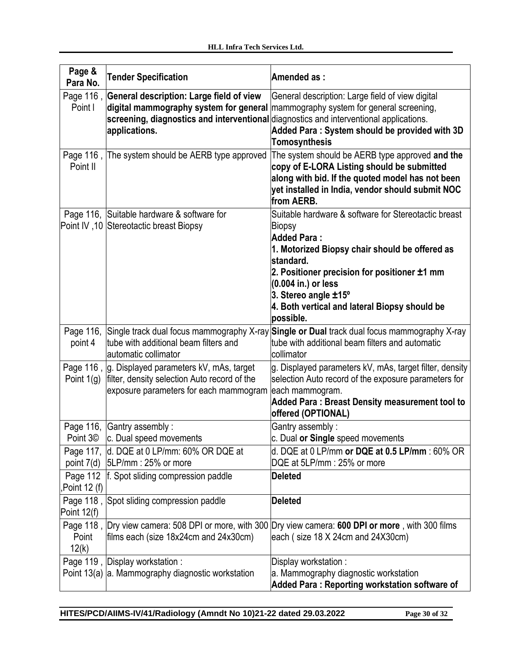| Page &<br>Para No.   | <b>Tender Specification</b>                                                                                                                         | Amended as:                                                                                                                                                                                                                                                                                                      |
|----------------------|-----------------------------------------------------------------------------------------------------------------------------------------------------|------------------------------------------------------------------------------------------------------------------------------------------------------------------------------------------------------------------------------------------------------------------------------------------------------------------|
| Page 116,<br>Point I | General description: Large field of view<br>screening, diagnostics and interventional diagnostics and interventional applications.<br>applications. | General description: Large field of view digital<br>digital mammography system for general mammography system for general screening,<br>Added Para: System should be provided with 3D<br><b>Tomosynthesis</b>                                                                                                    |
| Point II             | Page 116, The system should be AERB type approved                                                                                                   | The system should be AERB type approved and the<br>copy of E-LORA Listing should be submitted<br>along with bid. If the quoted model has not been<br>yet installed in India, vendor should submit NOC<br>from AERB.                                                                                              |
|                      | Page 116, Suitable hardware & software for<br>Point IV, 10 Stereotactic breast Biopsy                                                               | Suitable hardware & software for Stereotactic breast<br>Biopsy<br><b>Added Para:</b><br>1. Motorized Biopsy chair should be offered as<br>standard.<br>2. Positioner precision for positioner ±1 mm<br>(0.004 in.) or less<br>3. Stereo angle ±15°<br>4. Both vertical and lateral Biopsy should be<br>possible. |
| point 4              | Page 116, Single track dual focus mammography X-ray<br>tube with additional beam filters and<br>automatic collimator                                | Single or Dual track dual focus mammography X-ray<br>tube with additional beam filters and automatic<br>collimator                                                                                                                                                                                               |
| Point $1(g)$         | Page 116, g. Displayed parameters kV, mAs, target<br>filter, density selection Auto record of the<br>exposure parameters for each mammogram         | g. Displayed parameters kV, mAs, target filter, density<br>selection Auto record of the exposure parameters for<br>each mammogram.<br><b>Added Para: Breast Density measurement tool to</b><br>offered (OPTIONAL)                                                                                                |
|                      | Page 116, Gantry assembly :                                                                                                                         | Gantry assembly:                                                                                                                                                                                                                                                                                                 |
|                      | Point 3 <sup>©</sup> c. Dual speed movements<br>Page 117, d. DQE at 0 LP/mm: 60% OR DQE at<br>point $7(d)$ 5LP/mm : 25% or more                     | c. Dual or Single speed movements<br>d. DQE at 0 LP/mm or DQE at 0.5 LP/mm : 60% OR<br>DQE at 5LP/mm: 25% or more                                                                                                                                                                                                |
| Point 12 (f),        | Page 112   f. Spot sliding compression paddle                                                                                                       | <b>Deleted</b>                                                                                                                                                                                                                                                                                                   |
| Point 12(f)          | Page 118, Spot sliding compression paddle                                                                                                           | <b>Deleted</b>                                                                                                                                                                                                                                                                                                   |
| Point<br>12(k)       | Page 118, Dry view camera: 508 DPI or more, with 300<br>films each (size 18x24cm and 24x30cm)                                                       | Dry view camera: 600 DPI or more, with 300 films<br>each (size 18 X 24cm and 24X30cm)                                                                                                                                                                                                                            |
|                      | Page 119, Display workstation:<br>Point 13(a) a. Mammography diagnostic workstation                                                                 | Display workstation:<br>a. Mammography diagnostic workstation<br>Added Para: Reporting workstation software of                                                                                                                                                                                                   |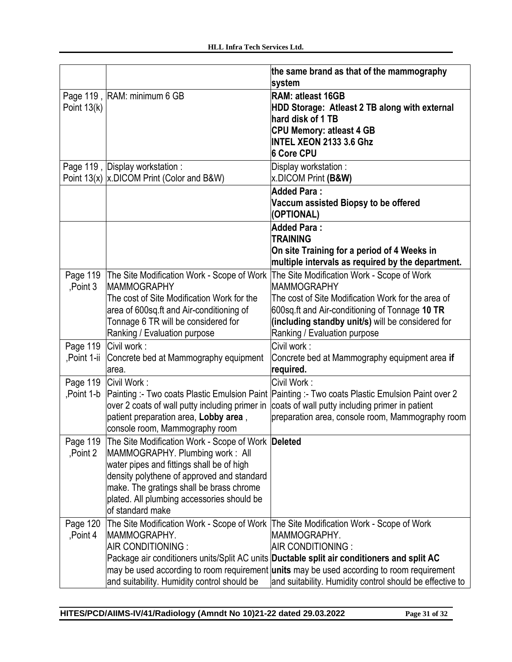|                         |                                                                                                                                                                                                                                                                                                | the same brand as that of the mammography<br>system                                                                                                                                                                                                                                              |
|-------------------------|------------------------------------------------------------------------------------------------------------------------------------------------------------------------------------------------------------------------------------------------------------------------------------------------|--------------------------------------------------------------------------------------------------------------------------------------------------------------------------------------------------------------------------------------------------------------------------------------------------|
| Point $13(k)$           | Page 119, RAM: minimum 6 GB                                                                                                                                                                                                                                                                    | <b>RAM: atleast 16GB</b><br>HDD Storage: Atleast 2 TB along with external<br>hard disk of 1 TB<br><b>CPU Memory: atleast 4 GB</b><br><b>INTEL XEON 2133 3.6 Ghz</b><br>6 Core CPU                                                                                                                |
|                         | Page 119, Display workstation:<br>Point 13(x)  x.DICOM Print (Color and B&W)                                                                                                                                                                                                                   | Display workstation:<br>x.DICOM Print (B&W)                                                                                                                                                                                                                                                      |
|                         |                                                                                                                                                                                                                                                                                                | <b>Added Para:</b><br>Vaccum assisted Biopsy to be offered<br>(OPTIONAL)                                                                                                                                                                                                                         |
|                         |                                                                                                                                                                                                                                                                                                | <b>Added Para:</b><br><b>TRAINING</b><br>On site Training for a period of 4 Weeks in<br>multiple intervals as required by the department.                                                                                                                                                        |
| Page 119<br>Point 3     | The Site Modification Work - Scope of Work<br><b>MAMMOGRAPHY</b><br>The cost of Site Modification Work for the<br>area of 600sq.ft and Air-conditioning of<br>Tonnage 6 TR will be considered for<br>Ranking / Evaluation purpose                                                              | The Site Modification Work - Scope of Work<br><b>MAMMOGRAPHY</b><br>The cost of Site Modification Work for the area of<br>600sq.ft and Air-conditioning of Tonnage 10 TR<br>(including standby unit/s) will be considered for<br>Ranking / Evaluation purpose                                    |
| Page 119<br>,Point 1-ii | Civil work:<br>Concrete bed at Mammography equipment<br>area.                                                                                                                                                                                                                                  | Civil work:<br>Concrete bed at Mammography equipment area if<br>required.                                                                                                                                                                                                                        |
| Point 1-b               | Page 119 Civil Work:<br>over 2 coats of wall putty including primer in<br>patient preparation area, Lobby area,<br>console room, Mammography room                                                                                                                                              | Civil Work:<br>Painting :- Two coats Plastic Emulsion Paint Painting :- Two coats Plastic Emulsion Paint over 2<br>coats of wall putty including primer in patient<br>preparation area, console room, Mammography room                                                                           |
| Page 119<br>Point 2     | The Site Modification Work - Scope of Work Deleted<br>MAMMOGRAPHY. Plumbing work: All<br>water pipes and fittings shall be of high<br>density polythene of approved and standard<br>make. The gratings shall be brass chrome<br>plated. All plumbing accessories should be<br>of standard make |                                                                                                                                                                                                                                                                                                  |
| Page 120<br>Point 4     | The Site Modification Work - Scope of Work   The Site Modification Work - Scope of Work<br>MAMMOGRAPHY.<br>AIR CONDITIONING :<br>and suitability. Humidity control should be                                                                                                                   | MAMMOGRAPHY.<br>AIR CONDITIONING :<br>Package air conditioners units/Split AC units Ductable split air conditioners and split AC<br>may be used according to room requirement <b>units</b> may be used according to room requirement<br>and suitability. Humidity control should be effective to |